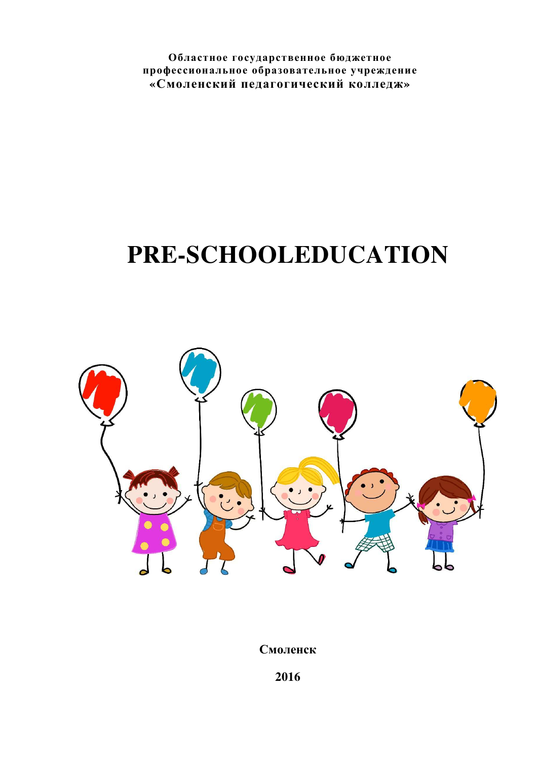**Областное государственное бюджетное профессиональное образовательное учреждение «Смоленский педагогический колледж»** 

# **PRE-SCHOOLEDUCATION**



**Смоленск**

**2016**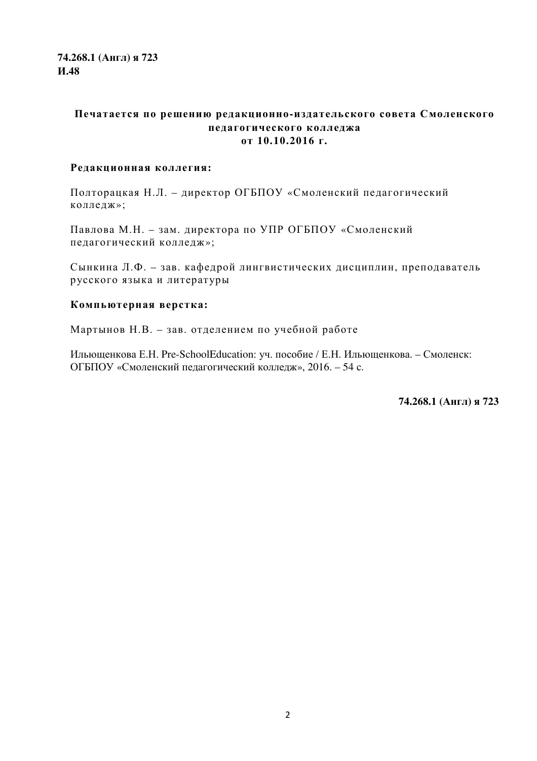**74.268.1 (Англ) я 723 И.48** 

#### **Печатается по решению редакционно-издательского совета Смоленского педагогического колледжа от 10.10.2016 г.**

#### **Редакционная коллегия:**

Полторацкая Н.Л. – директор ОГБПОУ «Смоленский педагогический колледж»;

Павлова М.Н. – зам. директора по УПР ОГБПОУ «Смоленский педагогический колледж»;

Сынкина Л.Ф. – зав. кафедрой лингвистических дисциплин, преподаватель русского языка и литературы

#### **Компьютерная верстка:**

Мартынов Н.В. – зав. отделением по учебной работе

Ильющенкова Е.Н. Pre-SchoolEducation: уч. пособие / Е.Н. Ильющенкова. – Смоленск: ОГБПОУ «Смоленский педагогический колледж», 2016. – 54 с.

**74.268.1 (Англ) я 723**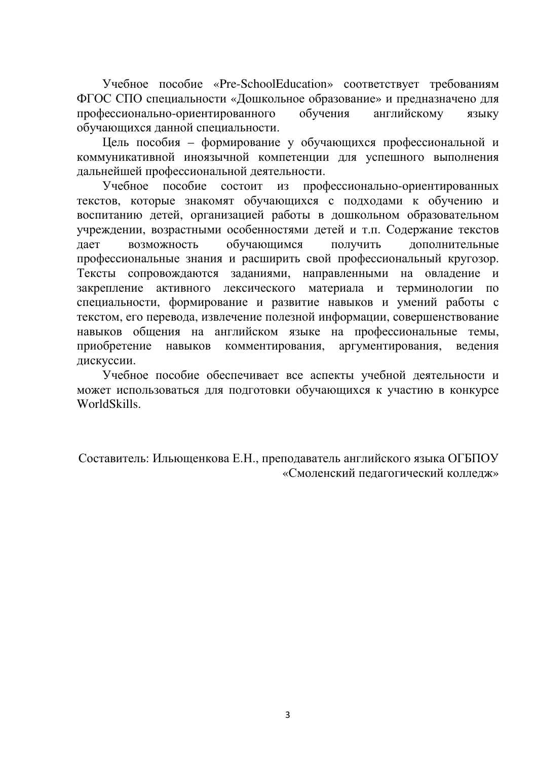Учебное пособие «Pre-SchoolEducation» соответствует требованиям ФГОС СПО специальности «Дошкольное образование» и предназначено для профессионально-ориентированного обучения английскому языку обучающихся данной специальности.

Цель пособия – формирование у обучающихся профессиональной и коммуникативной иноязычной компетенции для успешного выполнения дальнейшей профессиональной деятельности.

Учебное пособие состоит из профессионально-ориентированных текстов, которые знакомят обучающихся с подходами к обучению и воспитанию детей, организацией работы в дошкольном образовательном учреждении, возрастными особенностями детей и т.п. Содержание текстов дает возможность обучающимся получить дополнительные профессиональные знания и расширить свой профессиональный кругозор. Тексты сопровождаются заданиями, направленными на овладение и закрепление активного лексического материала и терминологии по специальности, формирование и развитие навыков и умений работы с текстом, его перевода, извлечение полезной информации, совершенствование навыков общения на английском языке на профессиональные темы, приобретение навыков комментирования, аргументирования, ведения дискуссии.

Учебное пособие обеспечивает все аспекты учебной деятельности и может использоваться для подготовки обучающихся к участию в конкурсе WorldSkills.

Составитель: Ильющенкова Е.Н., преподаватель английского языка ОГБПОУ «Смоленский педагогический колледж»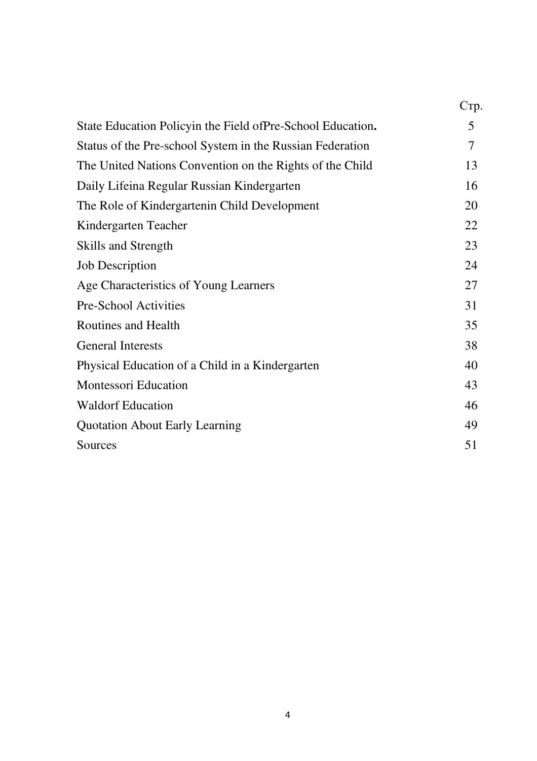|                                                             | $C_{\rm TD}$ . |
|-------------------------------------------------------------|----------------|
| State Education Policyin the Field of Pre-School Education. | 5              |
| Status of the Pre-school System in the Russian Federation   | $\tau$         |
| The United Nations Convention on the Rights of the Child    | 13             |
| Daily Lifeina Regular Russian Kindergarten                  | 16             |
| The Role of Kindergartenin Child Development                | 20             |
| Kindergarten Teacher                                        | 22             |
| <b>Skills and Strength</b>                                  | 23             |
| <b>Job Description</b>                                      | 24             |
| Age Characteristics of Young Learners                       | 27             |
| Pre-School Activities                                       | 31             |
| <b>Routines and Health</b>                                  | 35             |
| <b>General Interests</b>                                    | 38             |
| Physical Education of a Child in a Kindergarten             | 40             |
| <b>Montessori Education</b>                                 | 43             |
| <b>Waldorf Education</b>                                    | 46             |
| <b>Quotation About Early Learning</b>                       | 49             |
| Sources                                                     | 51             |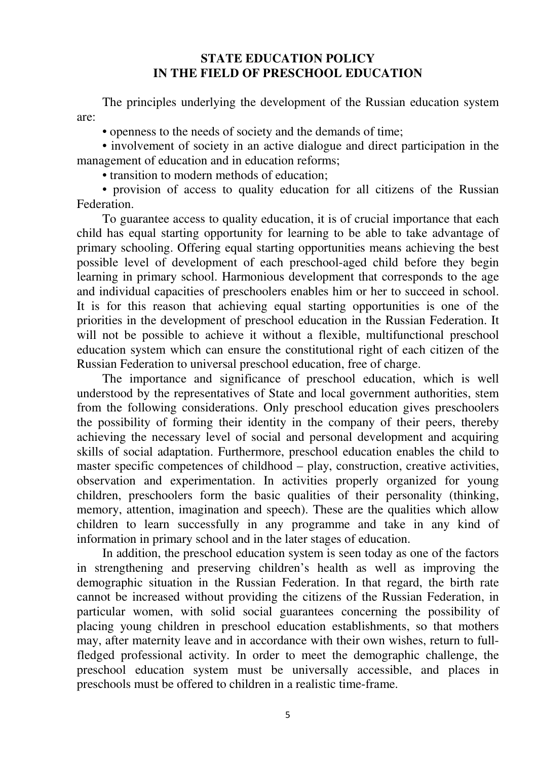### **STATE EDUCATION POLICY IN THE FIELD OF PRESCHOOL EDUCATION**

The principles underlying the development of the Russian education system are:

• openness to the needs of society and the demands of time;

• involvement of society in an active dialogue and direct participation in the management of education and in education reforms;

• transition to modern methods of education;

• provision of access to quality education for all citizens of the Russian Federation.

To guarantee access to quality education, it is of crucial importance that each child has equal starting opportunity for learning to be able to take advantage of primary schooling. Offering equal starting opportunities means achieving the best possible level of development of each preschool-aged child before they begin learning in primary school. Harmonious development that corresponds to the age and individual capacities of preschoolers enables him or her to succeed in school. It is for this reason that achieving equal starting opportunities is one of the priorities in the development of preschool education in the Russian Federation. It will not be possible to achieve it without a flexible, multifunctional preschool education system which can ensure the constitutional right of each citizen of the Russian Federation to universal preschool education, free of charge.

The importance and significance of preschool education, which is well understood by the representatives of State and local government authorities, stem from the following considerations. Only preschool education gives preschoolers the possibility of forming their identity in the company of their peers, thereby achieving the necessary level of social and personal development and acquiring skills of social adaptation. Furthermore, preschool education enables the child to master specific competences of childhood – play, construction, creative activities, observation and experimentation. In activities properly organized for young children, preschoolers form the basic qualities of their personality (thinking, memory, attention, imagination and speech). These are the qualities which allow children to learn successfully in any programme and take in any kind of information in primary school and in the later stages of education.

In addition, the preschool education system is seen today as one of the factors in strengthening and preserving children's health as well as improving the demographic situation in the Russian Federation. In that regard, the birth rate cannot be increased without providing the citizens of the Russian Federation, in particular women, with solid social guarantees concerning the possibility of placing young children in preschool education establishments, so that mothers may, after maternity leave and in accordance with their own wishes, return to fullfledged professional activity. In order to meet the demographic challenge, the preschool education system must be universally accessible, and places in preschools must be offered to children in a realistic time-frame.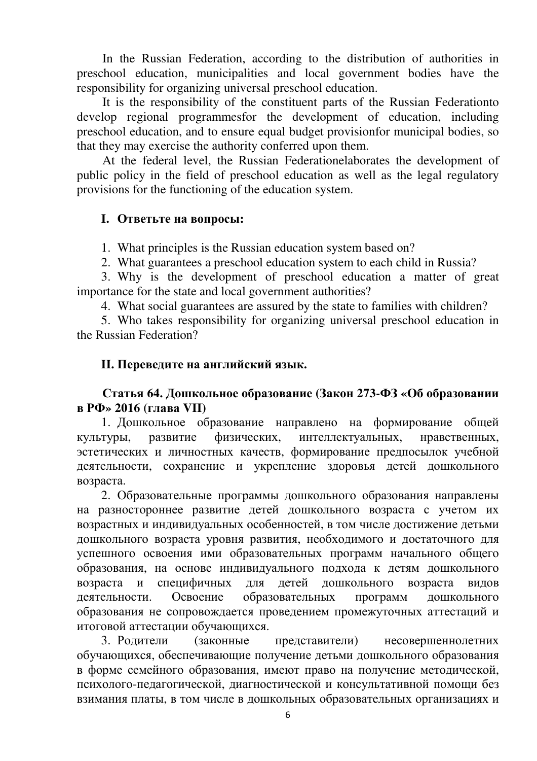In the Russian Federation, according to the distribution of authorities in preschool education, municipalities and local government bodies have the responsibility for organizing universal preschool education.

It is the responsibility of the constituent parts of the Russian Federationto develop regional programmesfor the development of education, including preschool education, and to ensure equal budget provisionfor municipal bodies, so that they may exercise the authority conferred upon them.

At the federal level, the Russian Federationelaborates the development of public policy in the field of preschool education as well as the legal regulatory provisions for the functioning of the education system.

## **I. Ответьте на вопросы:**

1. What principles is the Russian education system based on?

2. What guarantees a preschool education system to each child in Russia?

3. Why is the development of preschool education a matter of great importance for the state and local government authorities?

4. What social guarantees are assured by the state to families with children?

5. Who takes responsibility for organizing universal preschool education in the Russian Federation?

## **II. Переведите на английский язык.**

## **Статья 64. Дошкольное образование (Закон 273-ФЗ «Об образовании в РФ» 2016 (глава VII)**

1. Дошкольное образование направлено на формирование общей культуры, развитие физических, интеллектуальных, нравственных, эстетических и личностных качеств, формирование предпосылок учебной деятельности, сохранение и укрепление здоровья детей дошкольного возраста.

2. Образовательные программы дошкольного образования направлены на разностороннее развитие детей дошкольного возраста с учетом их возрастных и индивидуальных особенностей, в том числе достижение детьми дошкольного возраста уровня развития, необходимого и достаточного для успешного освоения ими образовательных программ начального общего образования, на основе индивидуального подхода к детям дошкольного возраста и специфичных для детей дошкольного возраста видов деятельности. Освоение образовательных программ дошкольного образования не сопровождается проведением промежуточных аттестаций и итоговой аттестации обучающихся.

3. Родители (законные представители) несовершеннолетних обучающихся, обеспечивающие получение детьми дошкольного образования в форме семейного образования, имеют право на получение методической, психолого-педагогической, диагностической и консультативной помощи без взимания платы, в том числе в дошкольных образовательных организациях и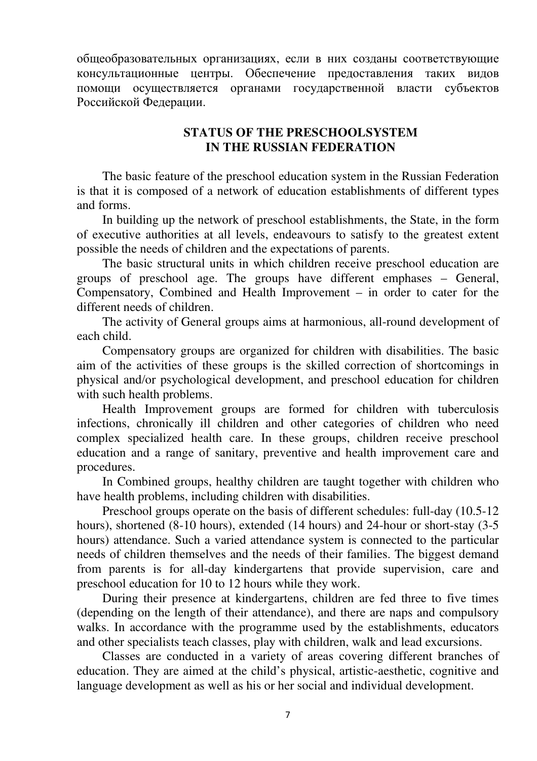общеобразовательных организациях, если в них созданы соответствующие консультационные центры. Обеспечение предоставления таких видов помощи осуществляется органами государственной власти субъектов Российской Федерации.

## **STATUS OF THE PRESCHOOLSYSTEM IN THE RUSSIAN FEDERATION**

The basic feature of the preschool education system in the Russian Federation is that it is composed of a network of education establishments of different types and forms.

In building up the network of preschool establishments, the State, in the form of executive authorities at all levels, endeavours to satisfy to the greatest extent possible the needs of children and the expectations of parents.

The basic structural units in which children receive preschool education are groups of preschool age. The groups have different emphases – General, Compensatory, Combined and Health Improvement – in order to cater for the different needs of children.

The activity of General groups aims at harmonious, all-round development of each child.

Compensatory groups are organized for children with disabilities. The basic aim of the activities of these groups is the skilled correction of shortcomings in physical and/or psychological development, and preschool education for children with such health problems.

Health Improvement groups are formed for children with tuberculosis infections, chronically ill children and other categories of children who need complex specialized health care. In these groups, children receive preschool education and a range of sanitary, preventive and health improvement care and procedures.

In Combined groups, healthy children are taught together with children who have health problems, including children with disabilities.

Preschool groups operate on the basis of different schedules: full-day (10.5-12 hours), shortened (8-10 hours), extended (14 hours) and 24-hour or short-stay (3-5 hours) attendance. Such a varied attendance system is connected to the particular needs of children themselves and the needs of their families. The biggest demand from parents is for all-day kindergartens that provide supervision, care and preschool education for 10 to 12 hours while they work.

During their presence at kindergartens, children are fed three to five times (depending on the length of their attendance), and there are naps and compulsory walks. In accordance with the programme used by the establishments, educators and other specialists teach classes, play with children, walk and lead excursions.

Classes are conducted in a variety of areas covering different branches of education. They are aimed at the child's physical, artistic-aesthetic, cognitive and language development as well as his or her social and individual development.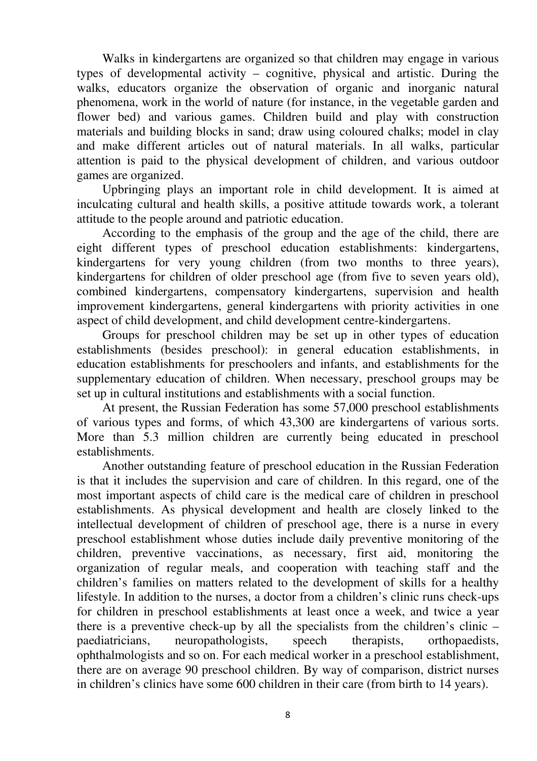Walks in kindergartens are organized so that children may engage in various types of developmental activity – cognitive, physical and artistic. During the walks, educators organize the observation of organic and inorganic natural phenomena, work in the world of nature (for instance, in the vegetable garden and flower bed) and various games. Children build and play with construction materials and building blocks in sand; draw using coloured chalks; model in clay and make different articles out of natural materials. In all walks, particular attention is paid to the physical development of children, and various outdoor games are organized.

Upbringing plays an important role in child development. It is aimed at inculcating cultural and health skills, a positive attitude towards work, a tolerant attitude to the people around and patriotic education.

According to the emphasis of the group and the age of the child, there are eight different types of preschool education establishments: kindergartens, kindergartens for very young children (from two months to three years), kindergartens for children of older preschool age (from five to seven years old), combined kindergartens, compensatory kindergartens, supervision and health improvement kindergartens, general kindergartens with priority activities in one aspect of child development, and child development centre-kindergartens.

Groups for preschool children may be set up in other types of education establishments (besides preschool): in general education establishments, in education establishments for preschoolers and infants, and establishments for the supplementary education of children. When necessary, preschool groups may be set up in cultural institutions and establishments with a social function.

At present, the Russian Federation has some 57,000 preschool establishments of various types and forms, of which 43,300 are kindergartens of various sorts. More than 5.3 million children are currently being educated in preschool establishments.

Another outstanding feature of preschool education in the Russian Federation is that it includes the supervision and care of children. In this regard, one of the most important aspects of child care is the medical care of children in preschool establishments. As physical development and health are closely linked to the intellectual development of children of preschool age, there is a nurse in every preschool establishment whose duties include daily preventive monitoring of the children, preventive vaccinations, as necessary, first aid, monitoring the organization of regular meals, and cooperation with teaching staff and the children's families on matters related to the development of skills for a healthy lifestyle. In addition to the nurses, a doctor from a children's clinic runs check-ups for children in preschool establishments at least once a week, and twice a year there is a preventive check-up by all the specialists from the children's clinic – paediatricians, neuropathologists, speech therapists, orthopaedists, ophthalmologists and so on. For each medical worker in a preschool establishment, there are on average 90 preschool children. By way of comparison, district nurses in children's clinics have some 600 children in their care (from birth to 14 years).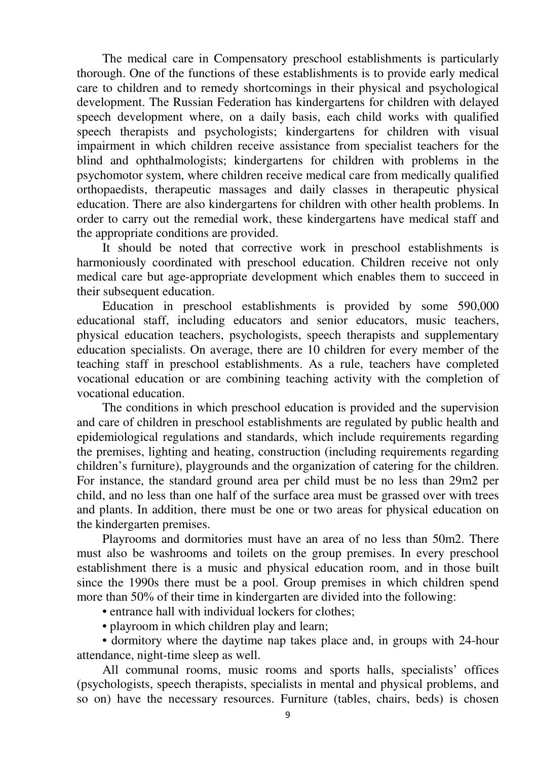The medical care in Compensatory preschool establishments is particularly thorough. One of the functions of these establishments is to provide early medical care to children and to remedy shortcomings in their physical and psychological development. The Russian Federation has kindergartens for children with delayed speech development where, on a daily basis, each child works with qualified speech therapists and psychologists; kindergartens for children with visual impairment in which children receive assistance from specialist teachers for the blind and ophthalmologists; kindergartens for children with problems in the psychomotor system, where children receive medical care from medically qualified orthopaedists, therapeutic massages and daily classes in therapeutic physical education. There are also kindergartens for children with other health problems. In order to carry out the remedial work, these kindergartens have medical staff and the appropriate conditions are provided.

It should be noted that corrective work in preschool establishments is harmoniously coordinated with preschool education. Children receive not only medical care but age-appropriate development which enables them to succeed in their subsequent education.

Education in preschool establishments is provided by some 590,000 educational staff, including educators and senior educators, music teachers, physical education teachers, psychologists, speech therapists and supplementary education specialists. On average, there are 10 children for every member of the teaching staff in preschool establishments. As a rule, teachers have completed vocational education or are combining teaching activity with the completion of vocational education.

The conditions in which preschool education is provided and the supervision and care of children in preschool establishments are regulated by public health and epidemiological regulations and standards, which include requirements regarding the premises, lighting and heating, construction (including requirements regarding children's furniture), playgrounds and the organization of catering for the children. For instance, the standard ground area per child must be no less than 29m2 per child, and no less than one half of the surface area must be grassed over with trees and plants. In addition, there must be one or two areas for physical education on the kindergarten premises.

Playrooms and dormitories must have an area of no less than 50m2. There must also be washrooms and toilets on the group premises. In every preschool establishment there is a music and physical education room, and in those built since the 1990s there must be a pool. Group premises in which children spend more than 50% of their time in kindergarten are divided into the following:

• entrance hall with individual lockers for clothes:

• playroom in which children play and learn;

• dormitory where the daytime nap takes place and, in groups with 24-hour attendance, night-time sleep as well.

All communal rooms, music rooms and sports halls, specialists' offices (psychologists, speech therapists, specialists in mental and physical problems, and so on) have the necessary resources. Furniture (tables, chairs, beds) is chosen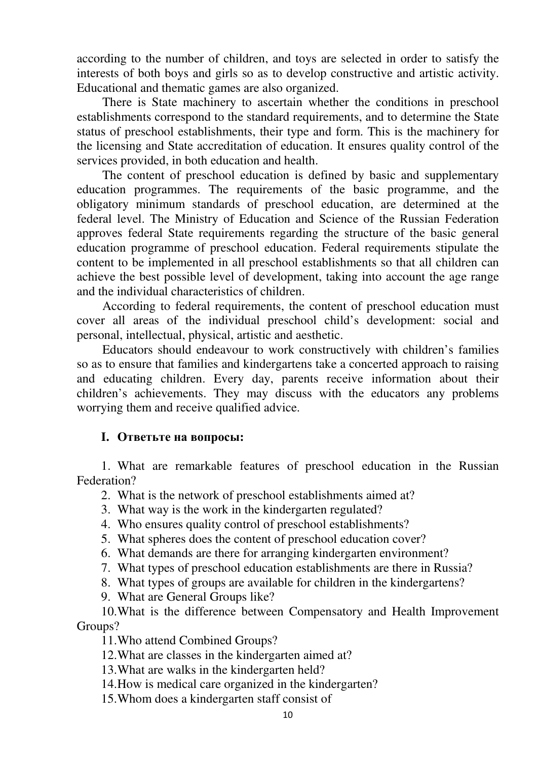according to the number of children, and toys are selected in order to satisfy the interests of both boys and girls so as to develop constructive and artistic activity. Educational and thematic games are also organized.

There is State machinery to ascertain whether the conditions in preschool establishments correspond to the standard requirements, and to determine the State status of preschool establishments, their type and form. This is the machinery for the licensing and State accreditation of education. It ensures quality control of the services provided, in both education and health.

The content of preschool education is defined by basic and supplementary education programmes. The requirements of the basic programme, and the obligatory minimum standards of preschool education, are determined at the federal level. The Ministry of Education and Science of the Russian Federation approves federal State requirements regarding the structure of the basic general education programme of preschool education. Federal requirements stipulate the content to be implemented in all preschool establishments so that all children can achieve the best possible level of development, taking into account the age range and the individual characteristics of children.

According to federal requirements, the content of preschool education must cover all areas of the individual preschool child's development: social and personal, intellectual, physical, artistic and aesthetic.

Educators should endeavour to work constructively with children's families so as to ensure that families and kindergartens take a concerted approach to raising and educating children. Every day, parents receive information about their children's achievements. They may discuss with the educators any problems worrying them and receive qualified advice.

#### **I. Ответьте на вопросы:**

1. What are remarkable features of preschool education in the Russian Federation?

2. What is the network of preschool establishments aimed at?

- 3. What way is the work in the kindergarten regulated?
- 4. Who ensures quality control of preschool establishments?
- 5. What spheres does the content of preschool education cover?
- 6. What demands are there for arranging kindergarten environment?
- 7. What types of preschool education establishments are there in Russia?
- 8. What types of groups are available for children in the kindergartens?
- 9. What are General Groups like?

10.What is the difference between Compensatory and Health Improvement Groups?

11.Who attend Combined Groups?

12.What are classes in the kindergarten aimed at?

13.What are walks in the kindergarten held?

14.How is medical care organized in the kindergarten?

15.Whom does a kindergarten staff consist of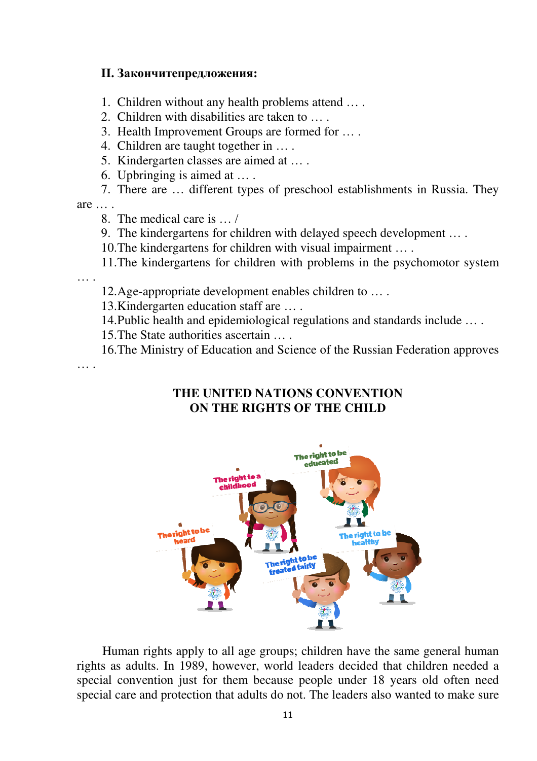#### **II. Закончитепредложения:**

1. Children without any health problems attend … .

2. Children with disabilities are taken to … .

3. Health Improvement Groups are formed for … .

4. Children are taught together in … .

5. Kindergarten classes are aimed at … .

6. Upbringing is aimed at … .

7. There are … different types of preschool establishments in Russia. They

 $are$ ...

8. The medical care is … /

9. The kindergartens for children with delayed speech development … .

10.The kindergartens for children with visual impairment … .

11.The kindergartens for children with problems in the psychomotor system

… .

12.Age-appropriate development enables children to … .

13.Kindergarten education staff are … .

14.Public health and epidemiological regulations and standards include … .

15.The State authorities ascertain … .

16.The Ministry of Education and Science of the Russian Federation approves … .

## **THE UNITED NATIONS CONVENTION ON THE RIGHTS OF THE CHILD**



Human rights apply to all age groups; children have the same general human rights as adults. In 1989, however, world leaders decided that children needed a special convention just for them because people under 18 years old often need special care and protection that adults do not. The leaders also wanted to make sure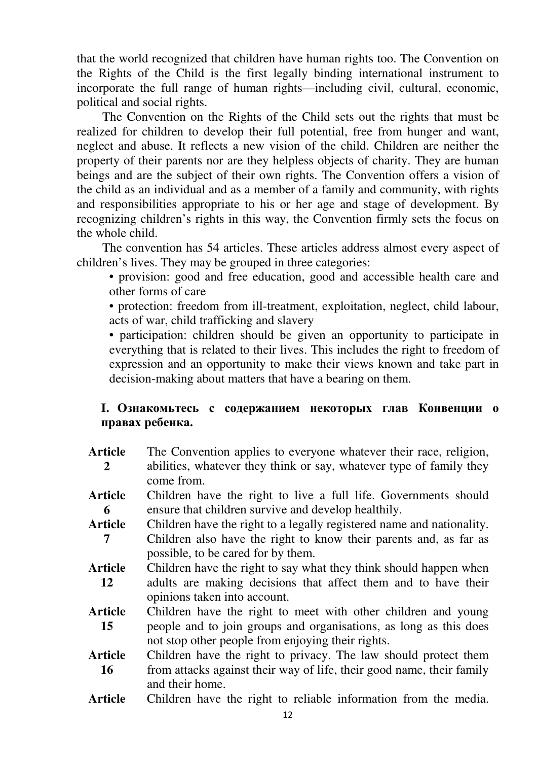that the world recognized that children have human rights too. The Convention on the Rights of the Child is the first legally binding international instrument to incorporate the full range of human rights—including civil, cultural, economic, political and social rights.

The Convention on the Rights of the Child sets out the rights that must be realized for children to develop their full potential, free from hunger and want, neglect and abuse. It reflects a new vision of the child. Children are neither the property of their parents nor are they helpless objects of charity. They are human beings and are the subject of their own rights. The Convention offers a vision of the child as an individual and as a member of a family and community, with rights and responsibilities appropriate to his or her age and stage of development. By recognizing children's rights in this way, the Convention firmly sets the focus on the whole child.

The convention has 54 articles. These articles address almost every aspect of children's lives. They may be grouped in three categories:

• provision: good and free education, good and accessible health care and other forms of care

• protection: freedom from ill-treatment, exploitation, neglect, child labour, acts of war, child trafficking and slavery

• participation: children should be given an opportunity to participate in everything that is related to their lives. This includes the right to freedom of expression and an opportunity to make their views known and take part in decision-making about matters that have a bearing on them.

## **I. Ознакомьтесь с содержанием некоторых глав Конвенции о правах ребенка.**

- **Article 2** The Convention applies to everyone whatever their race, religion, abilities, whatever they think or say, whatever type of family they come from.
- **Article 6** Children have the right to live a full life. Governments should ensure that children survive and develop healthily.
- **Article 7** Children have the right to a legally registered name and nationality. Children also have the right to know their parents and, as far as possible, to be cared for by them.
- **Article 12**  Children have the right to say what they think should happen when adults are making decisions that affect them and to have their opinions taken into account.
- **Article 15**  Children have the right to meet with other children and young people and to join groups and organisations, as long as this does not stop other people from enjoying their rights.
- **Article 16**  Children have the right to privacy. The law should protect them from attacks against their way of life, their good name, their family and their home.
- **Article** Children have the right to reliable information from the media.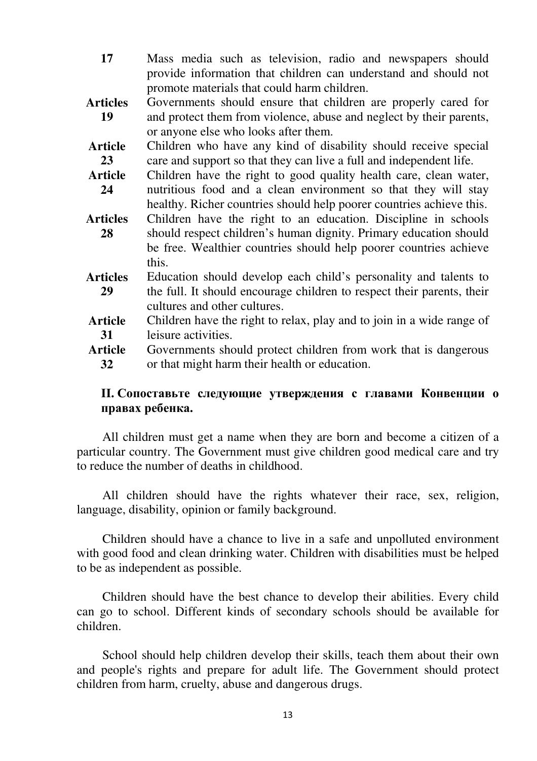- **17** Mass media such as television, radio and newspapers should provide information that children can understand and should not promote materials that could harm children.
- **Articles 19** Governments should ensure that children are properly cared for and protect them from violence, abuse and neglect by their parents, or anyone else who looks after them.
- **Article 23**  Children who have any kind of disability should receive special care and support so that they can live a full and independent life.
- **Article 24**  Children have the right to good quality health care, clean water, nutritious food and a clean environment so that they will stay healthy. Richer countries should help poorer countries achieve this.
- **Articles 28**  Children have the right to an education. Discipline in schools should respect children's human dignity. Primary education should be free. Wealthier countries should help poorer countries achieve this.
- **Articles 29**  Education should develop each child's personality and talents to the full. It should encourage children to respect their parents, their cultures and other cultures.
- **Article 31**  Children have the right to relax, play and to join in a wide range of leisure activities.
- **Article 32**  Governments should protect children from work that is dangerous or that might harm their health or education.

## **II. Сопоставьте следующие утверждения с главами Конвенции о правах ребенка.**

All children must get a name when they are born and become a citizen of a particular country. The Government must give children good medical care and try to reduce the number of deaths in childhood.

All children should have the rights whatever their race, sex, religion, language, disability, opinion or family background.

Children should have a chance to live in a safe and unpolluted environment with good food and clean drinking water. Children with disabilities must be helped to be as independent as possible.

Children should have the best chance to develop their abilities. Every child can go to school. Different kinds of secondary schools should be available for children.

School should help children develop their skills, teach them about their own and people's rights and prepare for adult life. The Government should protect children from harm, cruelty, abuse and dangerous drugs.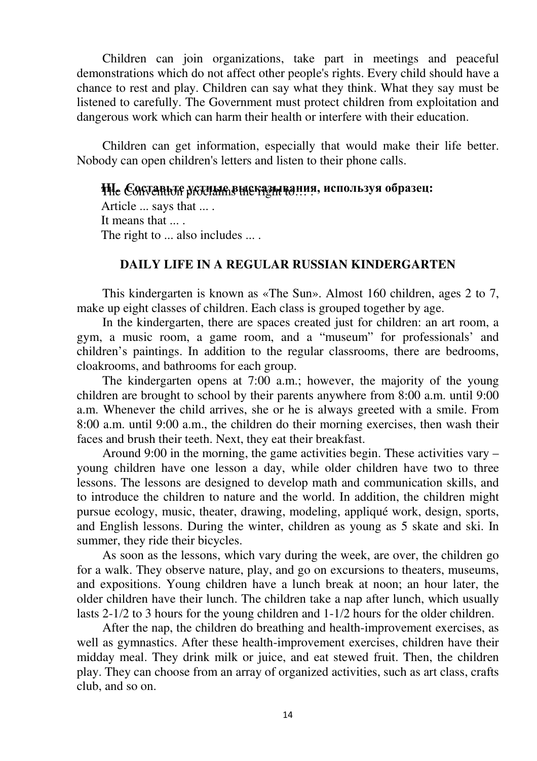Children can join organizations, take part in meetings and peaceful demonstrations which do not affect other people's rights. Every child should have a chance to rest and play. Children can say what they think. What they say must be listened to carefully. The Government must protect children from exploitation and dangerous work which can harm their health or interfere with their education.

Children can get information, especially that would make their life better. Nobody can open children's letters and listen to their phone calls.

## The Convention proclaims the right to… . **III. Составьте устные высказывания, используя образец:**

Article ... says that ... . It means that .... The right to ... also includes ... .

## **DAILY LIFE IN A REGULAR RUSSIAN KINDERGARTEN**

This kindergarten is known as «The Sun». Almost 160 children, ages 2 to 7, make up eight classes of children. Each class is grouped together by age.

In the kindergarten, there are spaces created just for children: an art room, a gym, a music room, a game room, and a "museum" for professionals' and children's paintings. In addition to the regular classrooms, there are bedrooms, cloakrooms, and bathrooms for each group.

The kindergarten opens at 7:00 a.m.; however, the majority of the young children are brought to school by their parents anywhere from 8:00 a.m. until 9:00 a.m. Whenever the child arrives, she or he is always greeted with a smile. From 8:00 a.m. until 9:00 a.m., the children do their morning exercises, then wash their faces and brush their teeth. Next, they eat their breakfast.

Around 9:00 in the morning, the game activities begin. These activities vary – young children have one lesson a day, while older children have two to three lessons. The lessons are designed to develop math and communication skills, and to introduce the children to nature and the world. In addition, the children might pursue ecology, music, theater, drawing, modeling, appliqué work, design, sports, and English lessons. During the winter, children as young as 5 skate and ski. In summer, they ride their bicycles.

As soon as the lessons, which vary during the week, are over, the children go for a walk. They observe nature, play, and go on excursions to theaters, museums, and expositions. Young children have a lunch break at noon; an hour later, the older children have their lunch. The children take a nap after lunch, which usually lasts 2-1/2 to 3 hours for the young children and 1-1/2 hours for the older children.

After the nap, the children do breathing and health-improvement exercises, as well as gymnastics. After these health-improvement exercises, children have their midday meal. They drink milk or juice, and eat stewed fruit. Then, the children play. They can choose from an array of organized activities, such as art class, crafts club, and so on.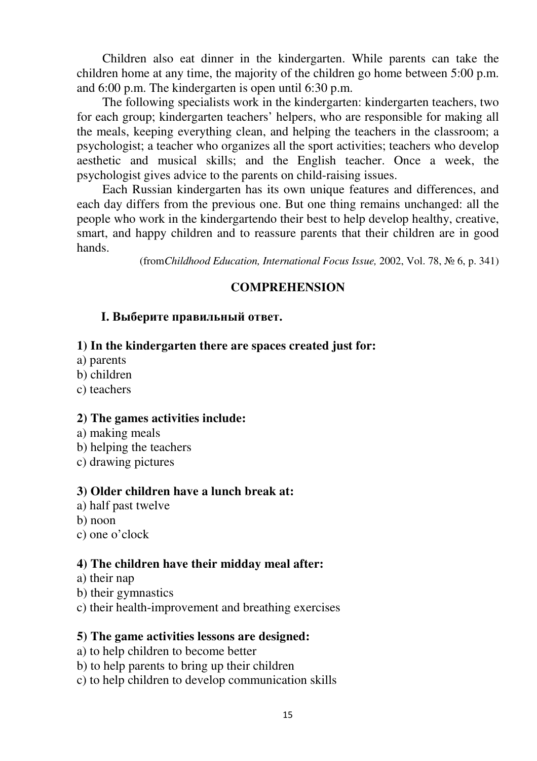Children also eat dinner in the kindergarten. While parents can take the children home at any time, the majority of the children go home between 5:00 p.m. and 6:00 p.m. The kindergarten is open until 6:30 p.m.

The following specialists work in the kindergarten: kindergarten teachers, two for each group; kindergarten teachers' helpers, who are responsible for making all the meals, keeping everything clean, and helping the teachers in the classroom; a psychologist; a teacher who organizes all the sport activities; teachers who develop aesthetic and musical skills; and the English teacher. Once a week, the psychologist gives advice to the parents on child-raising issues.

Each Russian kindergarten has its own unique features and differences, and each day differs from the previous one. But one thing remains unchanged: all the people who work in the kindergartendo their best to help develop healthy, creative, smart, and happy children and to reassure parents that their children are in good hands.

(from*Childhood Education, International Focus Issue,* 2002, Vol. 78, № 6, p. 341)

## **COMPREHENSION**

## **I. Выберите правильный ответ.**

## **1) In the kindergarten there are spaces created just for:**

- a) parents
- b) children
- c) teachers

#### **2) The games activities include:**

- a) making meals
- b) helping the teachers
- c) drawing pictures

#### **3) Older children have a lunch break at:**

- a) half past twelve
- b) noon
- c) one o'clock

#### **4) The children have their midday meal after:**

- a) their nap
- b) their gymnastics
- c) their health-improvement and breathing exercises

#### **5) The game activities lessons are designed:**

- a) to help children to become better
- b) to help parents to bring up their children
- c) to help children to develop communication skills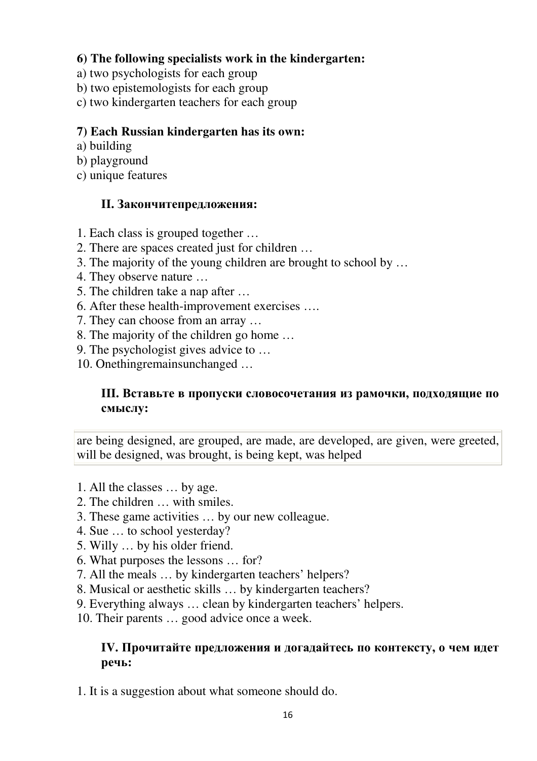## **6) The following specialists work in the kindergarten:**

- a) two psychologists for each group
- b) two epistemologists for each group
- c) two kindergarten teachers for each group

## **7) Each Russian kindergarten has its own:**

- a) building
- b) playground
- c) unique features

## **II. Закончитепредложения:**

- 1. Each class is grouped together …
- 2. There are spaces created just for children …
- 3. The majority of the young children are brought to school by …
- 4. They observe nature …
- 5. The children take a nap after …
- 6. After these health-improvement exercises ….
- 7. They can choose from an array …
- 8. The majority of the children go home …
- 9. The psychologist gives advice to …
- 10. Onethingremainsunchanged …

## **III. Вставьте в пропуски словосочетания из рамочки, подходящие по смыслу:**

are being designed, are grouped, are made, are developed, are given, were greeted, will be designed, was brought, is being kept, was helped

- 1. All the classes … by age.
- 2. The children … with smiles.
- 3. These game activities … by our new colleague.
- 4. Sue … to school yesterday?
- 5. Willy … by his older friend.
- 6. What purposes the lessons … for?
- 7. All the meals … by kindergarten teachers' helpers?
- 8. Musical or aesthetic skills … by kindergarten teachers?
- 9. Everything always … clean by kindergarten teachers' helpers.
- 10. Their parents … good advice once a week.

## **IV. Прочитайте предложения и догадайтесь по контексту, о чем идет речь:**

1. It is a suggestion about what someone should do.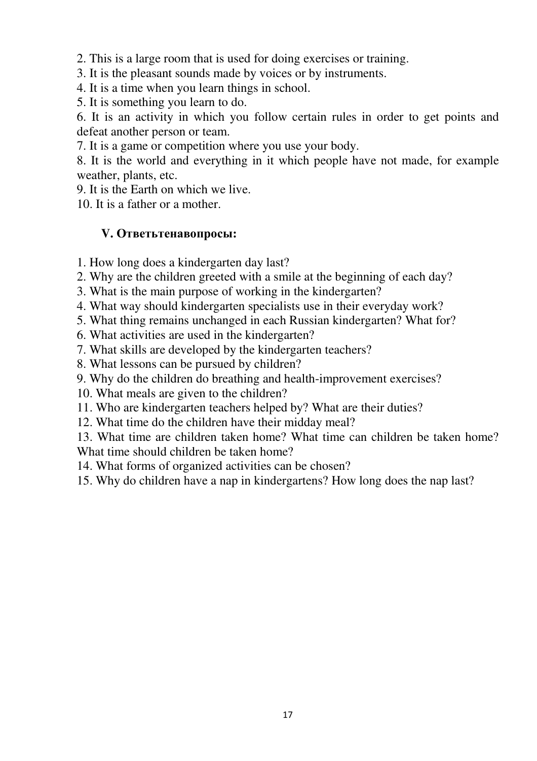2. This is a large room that is used for doing exercises or training.

- 3. It is the pleasant sounds made by voices or by instruments.
- 4. It is a time when you learn things in school.
- 5. It is something you learn to do.

6. It is an activity in which you follow certain rules in order to get points and defeat another person or team.

7. It is a game or competition where you use your body.

8. It is the world and everything in it which people have not made, for example weather, plants, etc.

9. It is the Earth on which we live.

10. It is a father or a mother.

## **V. Ответьтенавопросы:**

- 1. How long does a kindergarten day last?
- 2. Why are the children greeted with a smile at the beginning of each day?
- 3. What is the main purpose of working in the kindergarten?
- 4. What way should kindergarten specialists use in their everyday work?
- 5. What thing remains unchanged in each Russian kindergarten? What for?
- 6. What activities are used in the kindergarten?
- 7. What skills are developed by the kindergarten teachers?
- 8. What lessons can be pursued by children?
- 9. Why do the children do breathing and health-improvement exercises?
- 10. What meals are given to the children?
- 11. Who are kindergarten teachers helped by? What are their duties?
- 12. What time do the children have their midday meal?

13. What time are children taken home? What time can children be taken home? What time should children be taken home?

- 14. What forms of organized activities can be chosen?
- 15. Why do children have a nap in kindergartens? How long does the nap last?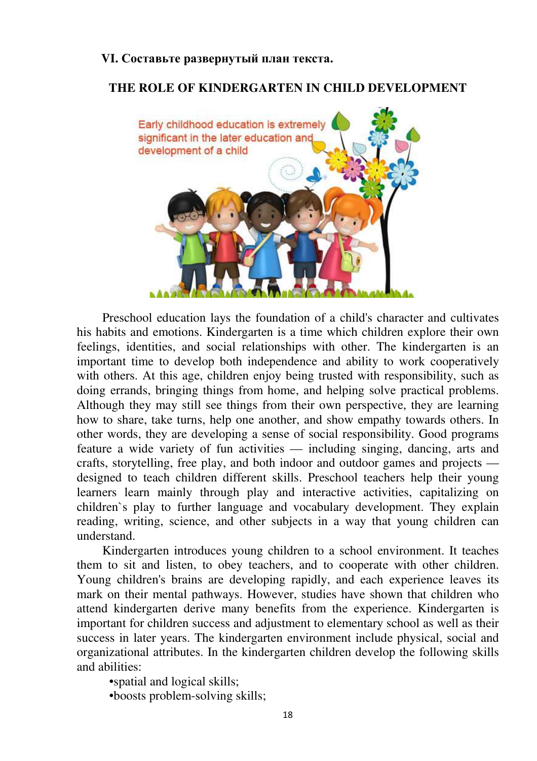### **VI. Составьте развернутый план текста.**

## **THE ROLE OF KINDERGARTEN IN CHILD DEVELOPMENT**



Preschool education lays the foundation of a child's character and cultivates his habits and emotions. Kindergarten is a time which children explore their own feelings, identities, and social relationships with other. The kindergarten is an important time to develop both independence and ability to work cooperatively with others. At this age, children enjoy being trusted with responsibility, such as doing errands, bringing things from home, and helping solve practical problems. Although they may still see things from their own perspective, they are learning how to share, take turns, help one another, and show empathy towards others. In other words, they are developing a sense of social responsibility. Good programs feature a wide variety of fun activities — including singing, dancing, arts and crafts, storytelling, free play, and both indoor and outdoor games and projects designed to teach children different skills. Preschool teachers help their young learners learn mainly through play and interactive activities, capitalizing on children`s play to further language and vocabulary development. They explain reading, writing, science, and other subjects in a way that young children can understand.

Kindergarten introduces young children to a school environment. It teaches them to sit and listen, to obey teachers, and to cooperate with other children. Young children's brains are developing rapidly, and each experience leaves its mark on their mental pathways. However, studies have shown that children who attend kindergarten derive many benefits from the experience. Kindergarten is important for children success and adjustment to elementary school as well as their success in later years. The kindergarten environment include physical, social and organizational attributes. In the kindergarten children develop the following skills and abilities:

•spatial and logical skills;

•boosts problem-solving skills;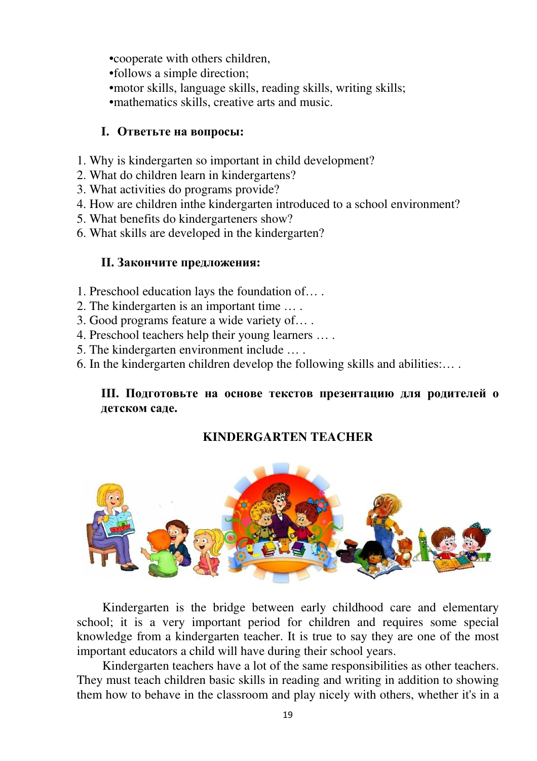•cooperate with others children, •follows a simple direction; •motor skills, language skills, reading skills, writing skills; •mathematics skills, creative arts and music.

## **I. Ответьте на вопросы:**

- 1. Why is kindergarten so important in child development?
- 2. What do children learn in kindergartens?
- 3. What activities do programs provide?
- 4. How are children inthe kindergarten introduced to a school environment?
- 5. What benefits do kindergarteners show?
- 6. What skills are developed in the kindergarten?

## **II. Закончите предложения:**

- 1. Preschool education lays the foundation of… .
- 2. The kindergarten is an important time … .
- 3. Good programs feature a wide variety of… .
- 4. Preschool teachers help their young learners … .
- 5. The kindergarten environment include … .
- 6. In the kindergarten children develop the following skills and abilities:… .

## **III. Подготовьте на основе текстов презентацию для родителей о детском саде.**

## **KINDERGARTEN TEACHER**



Kindergarten is the bridge between early childhood care and elementary school; it is a very important period for children and requires some special knowledge from a kindergarten teacher. It is true to say they are one of the most important educators a child will have during their school years.

Kindergarten teachers have a lot of the same responsibilities as other teachers. They must teach children basic skills in reading and writing in addition to showing them how to behave in the classroom and play nicely with others, whether it's in a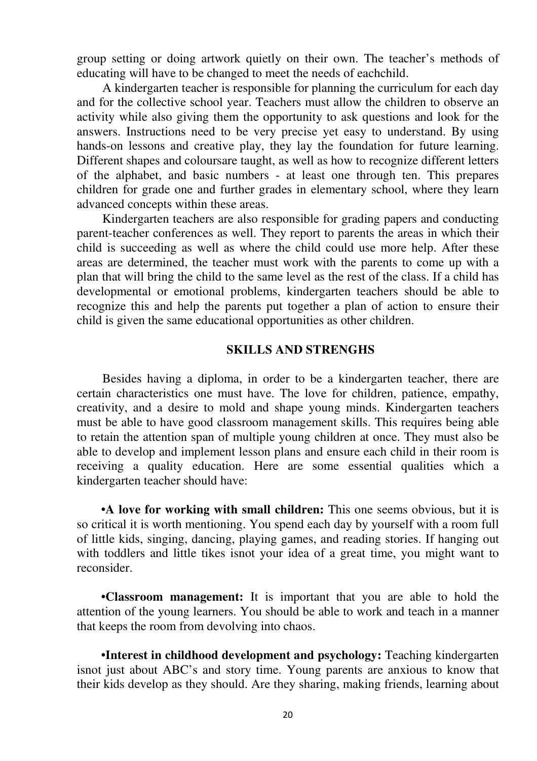group setting or doing artwork quietly on their own. The teacher's methods of educating will have to be changed to meet the needs of eachchild.

A kindergarten teacher is responsible for planning the curriculum for each day and for the collective school year. Teachers must allow the children to observe an activity while also giving them the opportunity to ask questions and look for the answers. Instructions need to be very precise yet easy to understand. By using hands-on lessons and creative play, they lay the foundation for future learning. Different shapes and coloursare taught, as well as how to recognize different letters of the alphabet, and basic numbers - at least one through ten. This prepares children for grade one and further grades in elementary school, where they learn advanced concepts within these areas.

Kindergarten teachers are also responsible for grading papers and conducting parent-teacher conferences as well. They report to parents the areas in which their child is succeeding as well as where the child could use more help. After these areas are determined, the teacher must work with the parents to come up with a plan that will bring the child to the same level as the rest of the class. If a child has developmental or emotional problems, kindergarten teachers should be able to recognize this and help the parents put together a plan of action to ensure their child is given the same educational opportunities as other children.

#### **SKILLS AND STRENGHS**

Besides having a diploma, in order to be a kindergarten teacher, there are certain characteristics one must have. The love for children, patience, empathy, creativity, and a desire to mold and shape young minds. Kindergarten teachers must be able to have good classroom management skills. This requires being able to retain the attention span of multiple young children at once. They must also be able to develop and implement lesson plans and ensure each child in their room is receiving a quality education. Here are some essential qualities which a kindergarten teacher should have:

**•A love for working with small children:** This one seems obvious, but it is so critical it is worth mentioning. You spend each day by yourself with a room full of little kids, singing, dancing, playing games, and reading stories. If hanging out with toddlers and little tikes isnot your idea of a great time, you might want to reconsider.

**•Classroom management:** It is important that you are able to hold the attention of the young learners. You should be able to work and teach in a manner that keeps the room from devolving into chaos.

**•Interest in childhood development and psychology:** Teaching kindergarten isnot just about ABC's and story time. Young parents are anxious to know that their kids develop as they should. Are they sharing, making friends, learning about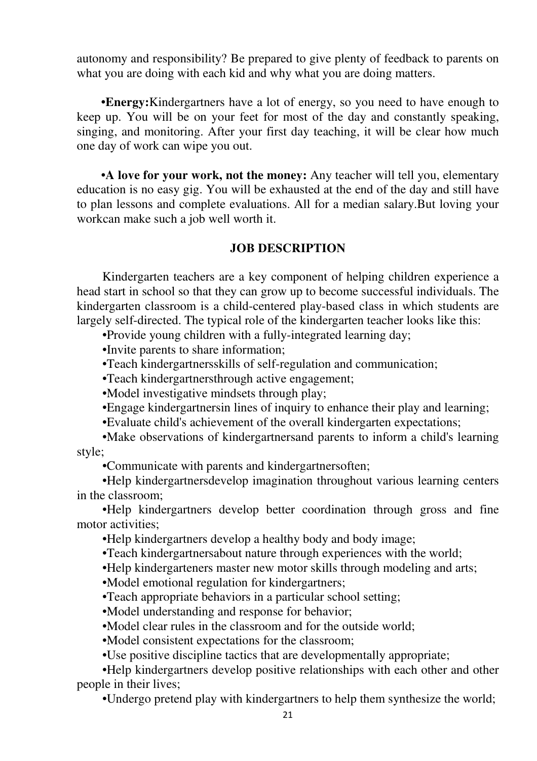autonomy and responsibility? Be prepared to give plenty of feedback to parents on what you are doing with each kid and why what you are doing matters.

**•Energy:**Kindergartners have a lot of energy, so you need to have enough to keep up. You will be on your feet for most of the day and constantly speaking, singing, and monitoring. After your first day teaching, it will be clear how much one day of work can wipe you out.

**•A love for your work, not the money:** Any teacher will tell you, elementary education is no easy gig. You will be exhausted at the end of the day and still have to plan lessons and complete evaluations. All for a median salary.But loving your workcan make such a job well worth it.

## **JOB DESCRIPTION**

Kindergarten teachers are a key component of helping children experience a head start in school so that they can grow up to become successful individuals. The kindergarten classroom is a child-centered play-based class in which students are largely self-directed. The typical role of the kindergarten teacher looks like this:

•Provide young children with a fully-integrated learning day;

•Invite parents to share information;

•Teach kindergartnersskills of self-regulation and communication;

•Teach kindergartnersthrough active engagement;

•Model investigative mindsets through play;

•Engage kindergartnersin lines of inquiry to enhance their play and learning;

•Evaluate child's achievement of the overall kindergarten expectations;

•Make observations of kindergartnersand parents to inform a child's learning style;

•Communicate with parents and kindergartnersoften;

•Help kindergartnersdevelop imagination throughout various learning centers in the classroom;

•Help kindergartners develop better coordination through gross and fine motor activities;

•Help kindergartners develop a healthy body and body image;

•Teach kindergartnersabout nature through experiences with the world;

•Help kindergarteners master new motor skills through modeling and arts;

•Model emotional regulation for kindergartners;

•Teach appropriate behaviors in a particular school setting;

•Model understanding and response for behavior;

•Model clear rules in the classroom and for the outside world;

•Model consistent expectations for the classroom;

•Use positive discipline tactics that are developmentally appropriate;

•Help kindergartners develop positive relationships with each other and other people in their lives;

•Undergo pretend play with kindergartners to help them synthesize the world;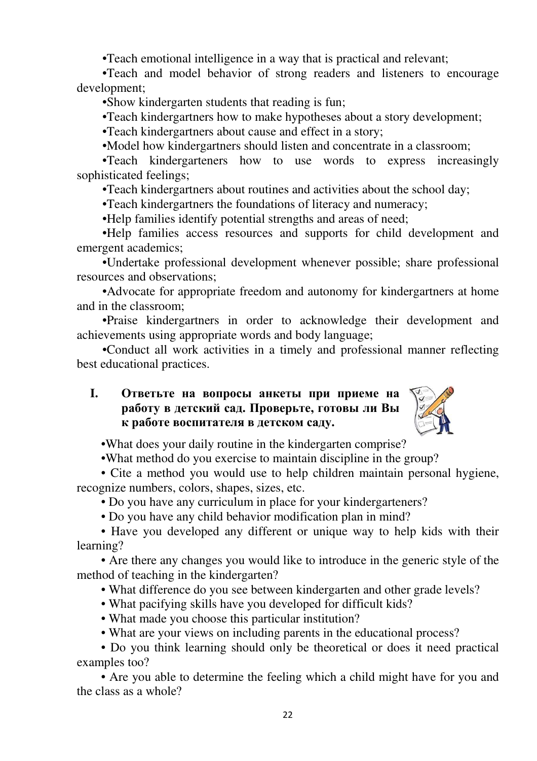•Teach emotional intelligence in a way that is practical and relevant;

•Teach and model behavior of strong readers and listeners to encourage development;

•Show kindergarten students that reading is fun;

•Teach kindergartners how to make hypotheses about a story development;

•Teach kindergartners about cause and effect in a story;

•Model how kindergartners should listen and concentrate in a classroom;

•Teach kindergarteners how to use words to express increasingly sophisticated feelings;

•Teach kindergartners about routines and activities about the school day;

•Teach kindergartners the foundations of literacy and numeracy;

•Help families identify potential strengths and areas of need;

•Help families access resources and supports for child development and emergent academics;

•Undertake professional development whenever possible; share professional resources and observations;

•Advocate for appropriate freedom and autonomy for kindergartners at home and in the classroom;

•Praise kindergartners in order to acknowledge their development and achievements using appropriate words and body language;

•Conduct all work activities in a timely and professional manner reflecting best educational practices.

## **I. Ответьте на вопросы анкеты при приеме на работу в детский сад. Проверьте, готовы ли Вы к работе воспитателя в детском саду.**



•What does your daily routine in the kindergarten comprise?

•What method do you exercise to maintain discipline in the group?

• Cite a method you would use to help children maintain personal hygiene, recognize numbers, colors, shapes, sizes, etc.

• Do you have any curriculum in place for your kindergarteners?

• Do you have any child behavior modification plan in mind?

• Have you developed any different or unique way to help kids with their learning?

• Are there any changes you would like to introduce in the generic style of the method of teaching in the kindergarten?

• What difference do you see between kindergarten and other grade levels?

- What pacifying skills have you developed for difficult kids?
- What made you choose this particular institution?
- What are your views on including parents in the educational process?

• Do you think learning should only be theoretical or does it need practical examples too?

• Are you able to determine the feeling which a child might have for you and the class as a whole?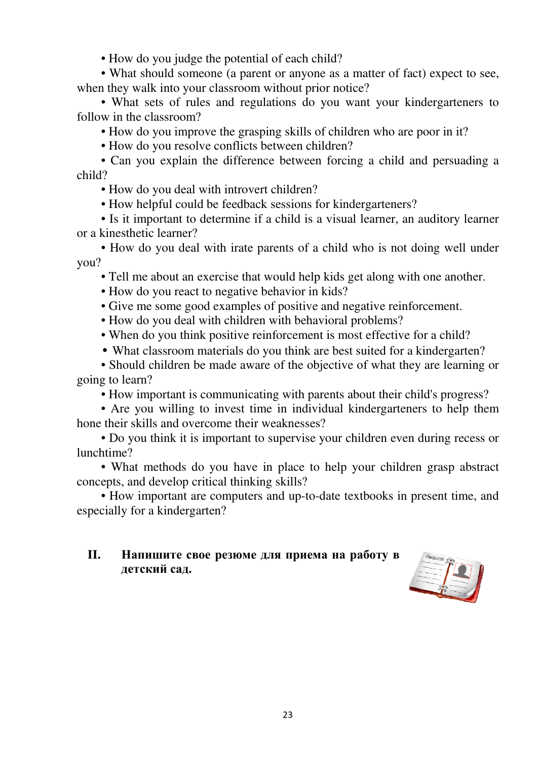• How do you judge the potential of each child?

• What should someone (a parent or anyone as a matter of fact) expect to see, when they walk into your classroom without prior notice?

• What sets of rules and regulations do you want your kindergarteners to follow in the classroom?

• How do you improve the grasping skills of children who are poor in it?

• How do you resolve conflicts between children?

• Can you explain the difference between forcing a child and persuading a child?

• How do you deal with introvert children?

• How helpful could be feedback sessions for kindergarteners?

• Is it important to determine if a child is a visual learner, an auditory learner or a kinesthetic learner?

• How do you deal with irate parents of a child who is not doing well under you?

• Tell me about an exercise that would help kids get along with one another.

• How do you react to negative behavior in kids?

• Give me some good examples of positive and negative reinforcement.

- How do you deal with children with behavioral problems?
- When do you think positive reinforcement is most effective for a child?
- What classroom materials do you think are best suited for a kindergarten?

• Should children be made aware of the objective of what they are learning or going to learn?

• How important is communicating with parents about their child's progress?

• Are you willing to invest time in individual kindergarteners to help them hone their skills and overcome their weaknesses?

• Do you think it is important to supervise your children even during recess or lunchtime?

• What methods do you have in place to help your children grasp abstract concepts, and develop critical thinking skills?

• How important are computers and up-to-date textbooks in present time, and especially for a kindergarten?

## **II. Напишите свое резюме для приема на работу в детский сад.**

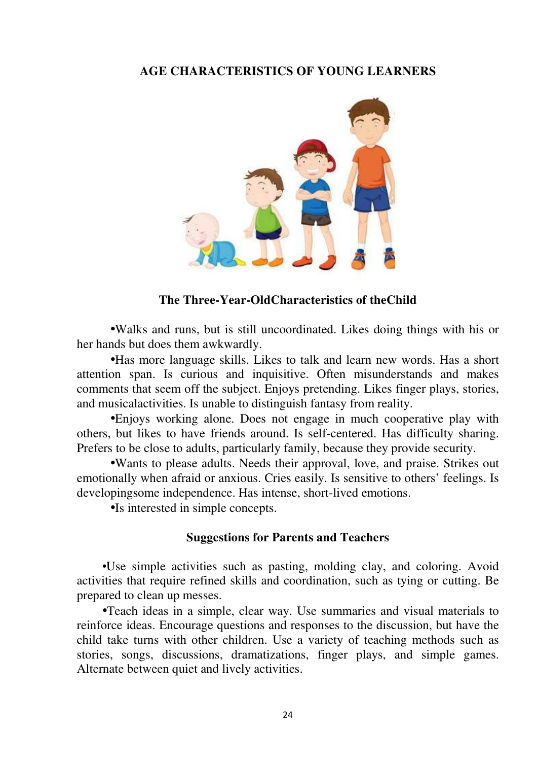#### **AGE CHARACTERISTICS OF YOUNG LEARNERS**



#### **The Three-Year-OldCharacteristics of theChild**

•Walks and runs, but is still uncoordinated. Likes doing things with his or her hands but does them awkwardly.

•Has more language skills. Likes to talk and learn new words. Has a short attention span. Is curious and inquisitive. Often misunderstands and makes comments that seem off the subject. Enjoys pretending. Likes finger plays, stories, and musicalactivities. Is unable to distinguish fantasy from reality.

•Enjoys working alone. Does not engage in much cooperative play with others, but likes to have friends around. Is self-centered. Has difficulty sharing. Prefers to be close to adults, particularly family, because they provide security.

•Wants to please adults. Needs their approval, love, and praise. Strikes out emotionally when afraid or anxious. Cries easily. Is sensitive to others' feelings. Is developingsome independence. Has intense, short-lived emotions.

•Is interested in simple concepts.

#### **Suggestions for Parents and Teachers**

•Use simple activities such as pasting, molding clay, and coloring. Avoid activities that require refined skills and coordination, such as tying or cutting. Be prepared to clean up messes.

•Teach ideas in a simple, clear way. Use summaries and visual materials to reinforce ideas. Encourage questions and responses to the discussion, but have the child take turns with other children. Use a variety of teaching methods such as stories, songs, discussions, dramatizations, finger plays, and simple games. Alternate between quiet and lively activities.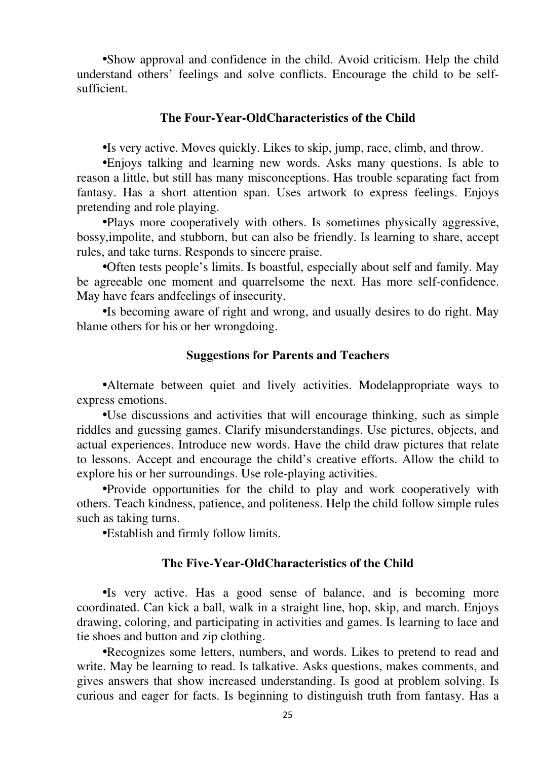•Show approval and confidence in the child. Avoid criticism. Help the child understand others' feelings and solve conflicts. Encourage the child to be selfsufficient.

#### **The Four-Year-OldCharacteristics of the Child**

•Is very active. Moves quickly. Likes to skip, jump, race, climb, and throw.

•Enjoys talking and learning new words. Asks many questions. Is able to reason a little, but still has many misconceptions. Has trouble separating fact from fantasy. Has a short attention span. Uses artwork to express feelings. Enjoys pretending and role playing.

•Plays more cooperatively with others. Is sometimes physically aggressive, bossy,impolite, and stubborn, but can also be friendly. Is learning to share, accept rules, and take turns. Responds to sincere praise.

•Often tests people's limits. Is boastful, especially about self and family. May be agreeable one moment and quarrelsome the next. Has more self-confidence. May have fears andfeelings of insecurity.

•Is becoming aware of right and wrong, and usually desires to do right. May blame others for his or her wrongdoing.

#### **Suggestions for Parents and Teachers**

•Alternate between quiet and lively activities. Modelappropriate ways to express emotions.

•Use discussions and activities that will encourage thinking, such as simple riddles and guessing games. Clarify misunderstandings. Use pictures, objects, and actual experiences. Introduce new words. Have the child draw pictures that relate to lessons. Accept and encourage the child's creative efforts. Allow the child to explore his or her surroundings. Use role-playing activities.

•Provide opportunities for the child to play and work cooperatively with others. Teach kindness, patience, and politeness. Help the child follow simple rules such as taking turns.

•Establish and firmly follow limits.

#### **The Five-Year-OldCharacteristics of the Child**

•Is very active. Has a good sense of balance, and is becoming more coordinated. Can kick a ball, walk in a straight line, hop, skip, and march. Enjoys drawing, coloring, and participating in activities and games. Is learning to lace and tie shoes and button and zip clothing.

•Recognizes some letters, numbers, and words. Likes to pretend to read and write. May be learning to read. Is talkative. Asks questions, makes comments, and gives answers that show increased understanding. Is good at problem solving. Is curious and eager for facts. Is beginning to distinguish truth from fantasy. Has a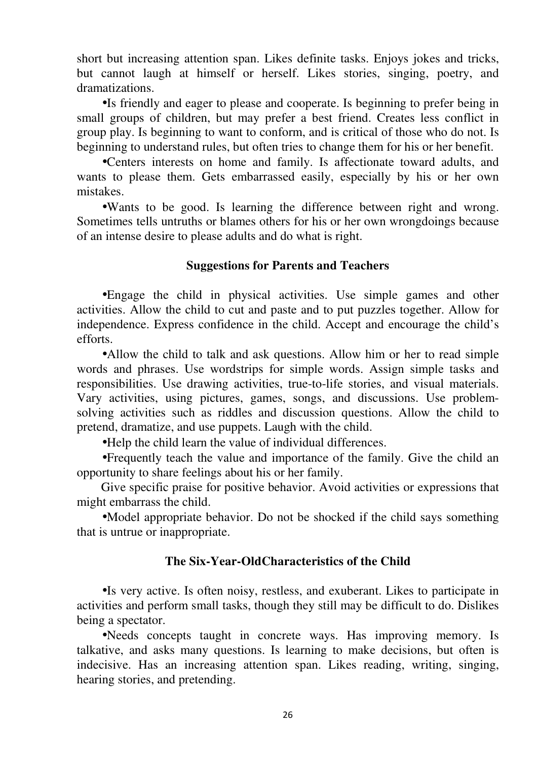short but increasing attention span. Likes definite tasks. Enjoys jokes and tricks, but cannot laugh at himself or herself. Likes stories, singing, poetry, and dramatizations.

•Is friendly and eager to please and cooperate. Is beginning to prefer being in small groups of children, but may prefer a best friend. Creates less conflict in group play. Is beginning to want to conform, and is critical of those who do not. Is beginning to understand rules, but often tries to change them for his or her benefit.

•Centers interests on home and family. Is affectionate toward adults, and wants to please them. Gets embarrassed easily, especially by his or her own mistakes.

•Wants to be good. Is learning the difference between right and wrong. Sometimes tells untruths or blames others for his or her own wrongdoings because of an intense desire to please adults and do what is right.

#### **Suggestions for Parents and Teachers**

•Engage the child in physical activities. Use simple games and other activities. Allow the child to cut and paste and to put puzzles together. Allow for independence. Express confidence in the child. Accept and encourage the child's efforts.

•Allow the child to talk and ask questions. Allow him or her to read simple words and phrases. Use wordstrips for simple words. Assign simple tasks and responsibilities. Use drawing activities, true-to-life stories, and visual materials. Vary activities, using pictures, games, songs, and discussions. Use problemsolving activities such as riddles and discussion questions. Allow the child to pretend, dramatize, and use puppets. Laugh with the child.

•Help the child learn the value of individual differences.

•Frequently teach the value and importance of the family. Give the child an opportunity to share feelings about his or her family.

Give specific praise for positive behavior. Avoid activities or expressions that might embarrass the child.

•Model appropriate behavior. Do not be shocked if the child says something that is untrue or inappropriate.

#### **The Six-Year-OldCharacteristics of the Child**

•Is very active. Is often noisy, restless, and exuberant. Likes to participate in activities and perform small tasks, though they still may be difficult to do. Dislikes being a spectator.

•Needs concepts taught in concrete ways. Has improving memory. Is talkative, and asks many questions. Is learning to make decisions, but often is indecisive. Has an increasing attention span. Likes reading, writing, singing, hearing stories, and pretending.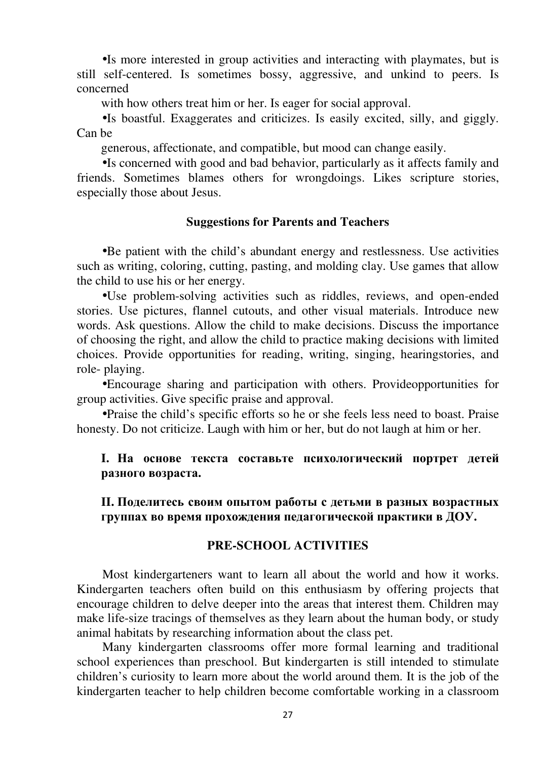•Is more interested in group activities and interacting with playmates, but is still self-centered. Is sometimes bossy, aggressive, and unkind to peers. Is concerned

with how others treat him or her. Is eager for social approval.

•Is boastful. Exaggerates and criticizes. Is easily excited, silly, and giggly. Can be

generous, affectionate, and compatible, but mood can change easily.

•Is concerned with good and bad behavior, particularly as it affects family and friends. Sometimes blames others for wrongdoings. Likes scripture stories, especially those about Jesus.

#### **Suggestions for Parents and Teachers**

•Be patient with the child's abundant energy and restlessness. Use activities such as writing, coloring, cutting, pasting, and molding clay. Use games that allow the child to use his or her energy.

•Use problem-solving activities such as riddles, reviews, and open-ended stories. Use pictures, flannel cutouts, and other visual materials. Introduce new words. Ask questions. Allow the child to make decisions. Discuss the importance of choosing the right, and allow the child to practice making decisions with limited choices. Provide opportunities for reading, writing, singing, hearingstories, and role- playing.

•Encourage sharing and participation with others. Provideopportunities for group activities. Give specific praise and approval.

•Praise the child's specific efforts so he or she feels less need to boast. Praise honesty. Do not criticize. Laugh with him or her, but do not laugh at him or her.

## **I. На основе текста составьте психологический портрет детей разного возраста.**

**II. Поделитесь своим опытом работы с детьми в разных возрастных группах во время прохождения педагогической практики в ДОУ.** 

## **PRE-SCHOOL ACTIVITIES**

Most kindergarteners want to learn all about the world and how it works. Kindergarten teachers often build on this enthusiasm by offering projects that encourage children to delve deeper into the areas that interest them. Children may make life-size tracings of themselves as they learn about the human body, or study animal habitats by researching information about the class pet.

Many kindergarten classrooms offer more formal learning and traditional school experiences than preschool. But kindergarten is still intended to stimulate children's curiosity to learn more about the world around them. It is the job of the kindergarten teacher to help children become comfortable working in a classroom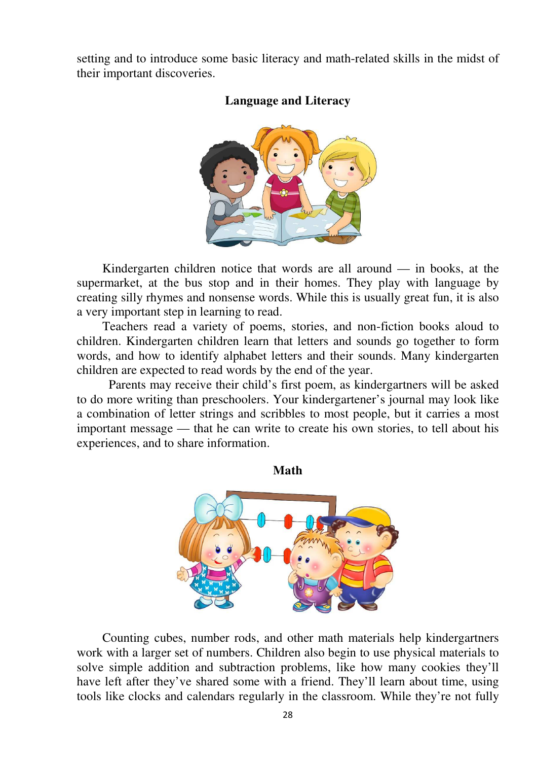setting and to introduce some basic literacy and math-related skills in the midst of their important discoveries.



## **Language and Literacy**

Kindergarten children notice that words are all around  $-$  in books, at the supermarket, at the bus stop and in their homes. They play with language by creating silly rhymes and nonsense words. While this is usually great fun, it is also a very important step in learning to read.

Teachers read a variety of poems, stories, and non-fiction books aloud to children. Kindergarten children learn that letters and sounds go together to form words, and how to identify alphabet letters and their sounds. Many kindergarten children are expected to read words by the end of the year.

Parents may receive their child's first poem, as kindergartners will be asked to do more writing than preschoolers. Your kindergartener's journal may look like a combination of letter strings and scribbles to most people, but it carries a most important message — that he can write to create his own stories, to tell about his experiences, and to share information.

**Math** 



Counting cubes, number rods, and other math materials help kindergartners work with a larger set of numbers. Children also begin to use physical materials to solve simple addition and subtraction problems, like how many cookies they'll have left after they've shared some with a friend. They'll learn about time, using tools like clocks and calendars regularly in the classroom. While they're not fully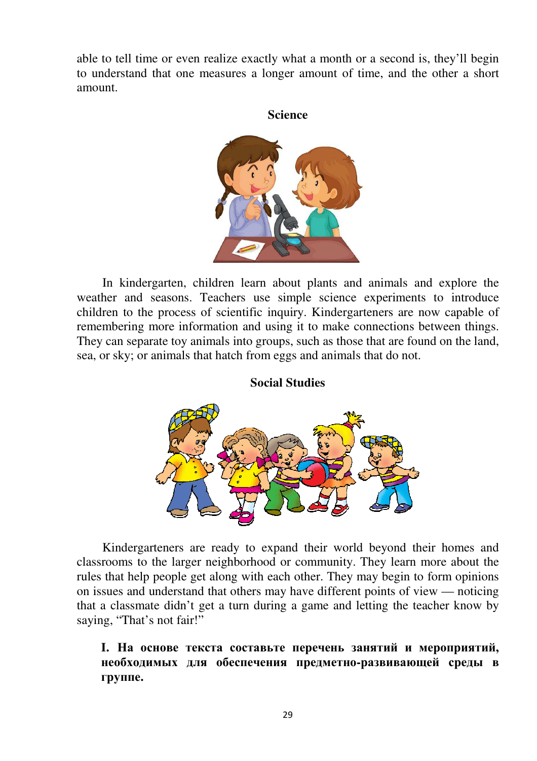able to tell time or even realize exactly what a month or a second is, they'll begin to understand that one measures a longer amount of time, and the other a short amount.

#### **Science**



In kindergarten, children learn about plants and animals and explore the weather and seasons. Teachers use simple science experiments to introduce children to the process of scientific inquiry. Kindergarteners are now capable of remembering more information and using it to make connections between things. They can separate toy animals into groups, such as those that are found on the land, sea, or sky; or animals that hatch from eggs and animals that do not.

#### **Social Studies**



Kindergarteners are ready to expand their world beyond their homes and classrooms to the larger neighborhood or community. They learn more about the rules that help people get along with each other. They may begin to form opinions on issues and understand that others may have different points of view — noticing that a classmate didn't get a turn during a game and letting the teacher know by saying, "That's not fair!"

## **I. На основе текста составьте перечень занятий и мероприятий, необходимых для обеспечения предметно-развивающей среды в группе.**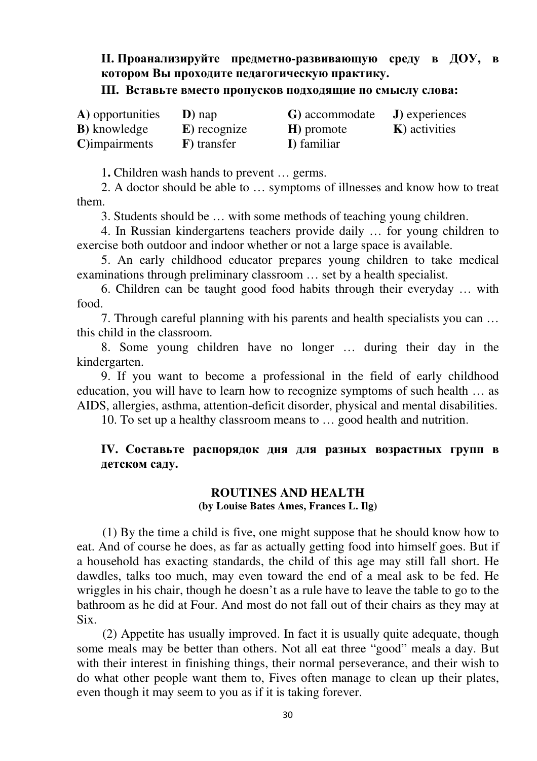## **II. Проанализируйте предметно-развивающую среду в ДОУ, в котором Вы проходите педагогическую практику.**

#### **III. Вставьте вместо пропусков подходящие по смыслу слова:**

| A) opportunities     | $\bf{D}$ ) nap | G) accommodate | J) experiences        |
|----------------------|----------------|----------------|-----------------------|
| <b>B</b> ) knowledge | E) recognize   | H) promote     | <b>K</b> ) activities |
| $C$ ) impairments    | F) transfer    | I) familiar    |                       |

1**.** Children wash hands to prevent … germs.

2. A doctor should be able to … symptoms of illnesses and know how to treat them.

3. Students should be … with some methods of teaching young children.

4. In Russian kindergartens teachers provide daily … for young children to exercise both outdoor and indoor whether or not a large space is available.

5. An early childhood educator prepares young children to take medical examinations through preliminary classroom … set by a health specialist.

6. Children can be taught good food habits through their everyday … with food.

7. Through careful planning with his parents and health specialists you can … this child in the classroom.

8. Some young children have no longer … during their day in the kindergarten.

9. If you want to become a professional in the field of early childhood education, you will have to learn how to recognize symptoms of such health … as AIDS, allergies, asthma, attention-deficit disorder, physical and mental disabilities.

10. To set up a healthy classroom means to … good health and nutrition.

### **IV. Составьте распорядок дня для разных возрастных групп в детском саду.**

#### **ROUTINES AND HEALTH (by Louise Bates Ames, Frances L. Ilg)**

(1) By the time a child is five, one might suppose that he should know how to eat. And of course he does, as far as actually getting food into himself goes. But if a household has exacting standards, the child of this age may still fall short. He dawdles, talks too much, may even toward the end of a meal ask to be fed. He wriggles in his chair, though he doesn't as a rule have to leave the table to go to the bathroom as he did at Four. And most do not fall out of their chairs as they may at Six.

(2) Appetite has usually improved. In fact it is usually quite adequate, though some meals may be better than others. Not all eat three "good" meals a day. But with their interest in finishing things, their normal perseverance, and their wish to do what other people want them to, Fives often manage to clean up their plates, even though it may seem to you as if it is taking forever.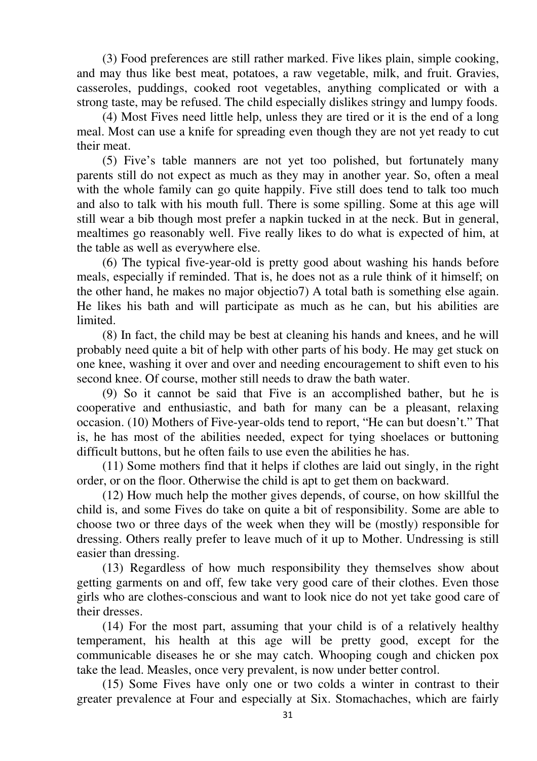(3) Food preferences are still rather marked. Five likes plain, simple cooking, and may thus like best meat, potatoes, a raw vegetable, milk, and fruit. Gravies, casseroles, puddings, cooked root vegetables, anything complicated or with a strong taste, may be refused. The child especially dislikes stringy and lumpy foods.

(4) Most Fives need little help, unless they are tired or it is the end of a long meal. Most can use a knife for spreading even though they are not yet ready to cut their meat.

(5) Five's table manners are not yet too polished, but fortunately many parents still do not expect as much as they may in another year. So, often a meal with the whole family can go quite happily. Five still does tend to talk too much and also to talk with his mouth full. There is some spilling. Some at this age will still wear a bib though most prefer a napkin tucked in at the neck. But in general, mealtimes go reasonably well. Five really likes to do what is expected of him, at the table as well as everywhere else.

(6) The typical five-year-old is pretty good about washing his hands before meals, especially if reminded. That is, he does not as a rule think of it himself; on the other hand, he makes no major objectio7) A total bath is something else again. He likes his bath and will participate as much as he can, but his abilities are limited.

(8) In fact, the child may be best at cleaning his hands and knees, and he will probably need quite a bit of help with other parts of his body. He may get stuck on one knee, washing it over and over and needing encouragement to shift even to his second knee. Of course, mother still needs to draw the bath water.

(9) So it cannot be said that Five is an accomplished bather, but he is cooperative and enthusiastic, and bath for many can be a pleasant, relaxing occasion. (10) Mothers of Five-year-olds tend to report, "He can but doesn't." That is, he has most of the abilities needed, expect for tying shoelaces or buttoning difficult buttons, but he often fails to use even the abilities he has.

(11) Some mothers find that it helps if clothes are laid out singly, in the right order, or on the floor. Otherwise the child is apt to get them on backward.

(12) How much help the mother gives depends, of course, on how skillful the child is, and some Fives do take on quite a bit of responsibility. Some are able to choose two or three days of the week when they will be (mostly) responsible for dressing. Others really prefer to leave much of it up to Mother. Undressing is still easier than dressing.

(13) Regardless of how much responsibility they themselves show about getting garments on and off, few take very good care of their clothes. Even those girls who are clothes-conscious and want to look nice do not yet take good care of their dresses.

(14) For the most part, assuming that your child is of a relatively healthy temperament, his health at this age will be pretty good, except for the communicable diseases he or she may catch. Whooping cough and chicken pox take the lead. Measles, once very prevalent, is now under better control.

(15) Some Fives have only one or two colds a winter in contrast to their greater prevalence at Four and especially at Six. Stomachaches, which are fairly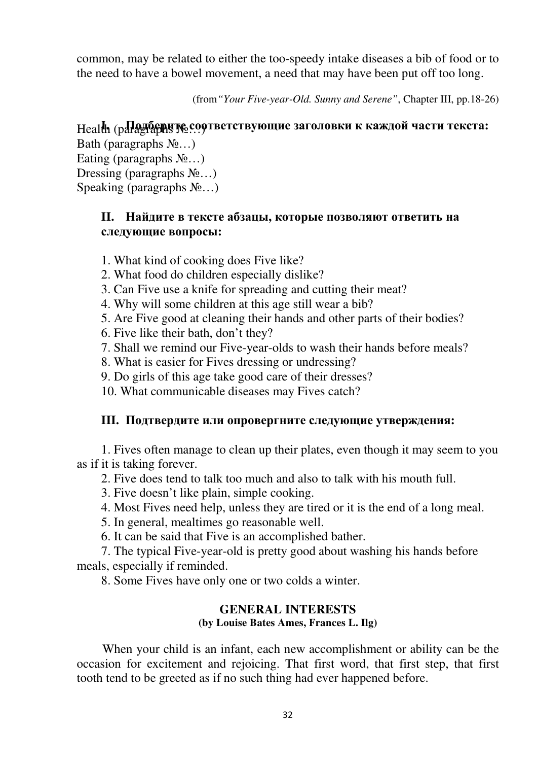common, may be related to either the too-speedy intake diseases a bib of food or to the need to have a bowel movement, a need that may have been put off too long.

(from*"Your Five-year-Old. Sunny and Serene"*, Chapter III, pp.18-26)

# Health (paragraphs **I. Подберите**№…) **соответствующие заголовки к каждой части текста:**

Bath (paragraphs  $N_2$ …) Eating (paragraphs  $N_2$ ...) Dressing (paragraphs  $N_2$ ...) Speaking (paragraphs  $N_2...$ )

## **II. Найдите в тексте абзацы, которые позволяют ответить на следующие вопросы:**

- 1. What kind of cooking does Five like?
- 2. What food do children especially dislike?
- 3. Can Five use a knife for spreading and cutting their meat?
- 4. Why will some children at this age still wear a bib?
- 5. Are Five good at cleaning their hands and other parts of their bodies?
- 6. Five like their bath, don't they?
- 7. Shall we remind our Five-year-olds to wash their hands before meals?
- 8. What is easier for Fives dressing or undressing?
- 9. Do girls of this age take good care of their dresses?
- 10. What communicable diseases may Fives catch?

## **III. Подтвердите или опровергните следующие утверждения:**

1. Fives often manage to clean up their plates, even though it may seem to you as if it is taking forever.

2. Five does tend to talk too much and also to talk with his mouth full.

- 3. Five doesn't like plain, simple cooking.
- 4. Most Fives need help, unless they are tired or it is the end of a long meal.

5. In general, mealtimes go reasonable well.

6. It can be said that Five is an accomplished bather.

7. The typical Five-year-old is pretty good about washing his hands before meals, especially if reminded.

8. Some Fives have only one or two colds a winter.

## **GENERAL INTERESTS (by Louise Bates Ames, Frances L. Ilg)**

When your child is an infant, each new accomplishment or ability can be the occasion for excitement and rejoicing. That first word, that first step, that first tooth tend to be greeted as if no such thing had ever happened before.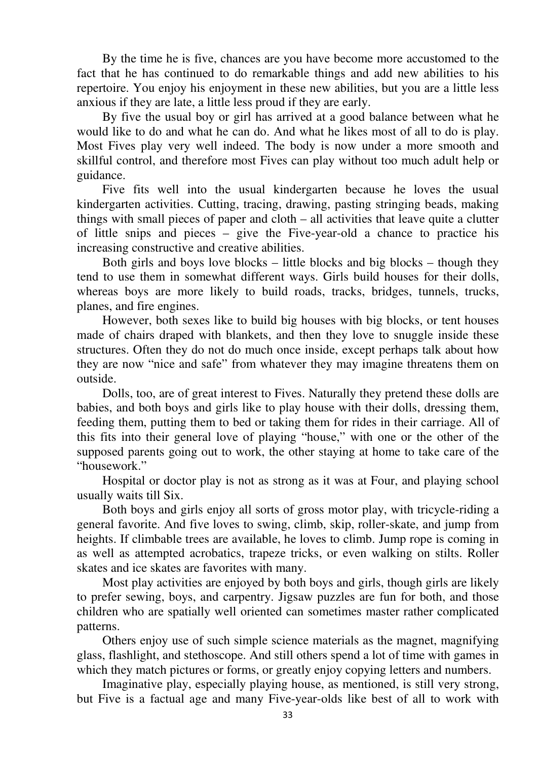By the time he is five, chances are you have become more accustomed to the fact that he has continued to do remarkable things and add new abilities to his repertoire. You enjoy his enjoyment in these new abilities, but you are a little less anxious if they are late, a little less proud if they are early.

By five the usual boy or girl has arrived at a good balance between what he would like to do and what he can do. And what he likes most of all to do is play. Most Fives play very well indeed. The body is now under a more smooth and skillful control, and therefore most Fives can play without too much adult help or guidance.

Five fits well into the usual kindergarten because he loves the usual kindergarten activities. Cutting, tracing, drawing, pasting stringing beads, making things with small pieces of paper and cloth – all activities that leave quite a clutter of little snips and pieces – give the Five-year-old a chance to practice his increasing constructive and creative abilities.

Both girls and boys love blocks – little blocks and big blocks – though they tend to use them in somewhat different ways. Girls build houses for their dolls, whereas boys are more likely to build roads, tracks, bridges, tunnels, trucks, planes, and fire engines.

However, both sexes like to build big houses with big blocks, or tent houses made of chairs draped with blankets, and then they love to snuggle inside these structures. Often they do not do much once inside, except perhaps talk about how they are now "nice and safe" from whatever they may imagine threatens them on outside.

Dolls, too, are of great interest to Fives. Naturally they pretend these dolls are babies, and both boys and girls like to play house with their dolls, dressing them, feeding them, putting them to bed or taking them for rides in their carriage. All of this fits into their general love of playing "house," with one or the other of the supposed parents going out to work, the other staying at home to take care of the "housework."

Hospital or doctor play is not as strong as it was at Four, and playing school usually waits till Six.

Both boys and girls enjoy all sorts of gross motor play, with tricycle-riding a general favorite. And five loves to swing, climb, skip, roller-skate, and jump from heights. If climbable trees are available, he loves to climb. Jump rope is coming in as well as attempted acrobatics, trapeze tricks, or even walking on stilts. Roller skates and ice skates are favorites with many.

Most play activities are enjoyed by both boys and girls, though girls are likely to prefer sewing, boys, and carpentry. Jigsaw puzzles are fun for both, and those children who are spatially well oriented can sometimes master rather complicated patterns.

Others enjoy use of such simple science materials as the magnet, magnifying glass, flashlight, and stethoscope. And still others spend a lot of time with games in which they match pictures or forms, or greatly enjoy copying letters and numbers.

Imaginative play, especially playing house, as mentioned, is still very strong, but Five is a factual age and many Five-year-olds like best of all to work with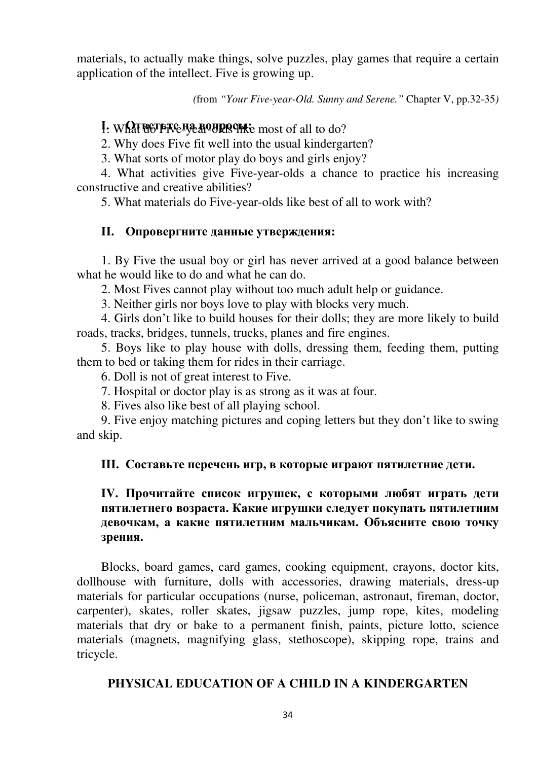materials, to actually make things, solve puzzles, play games that require a certain application of the intellect. Five is growing up.

*(*from *"Your Five-year-Old. Sunny and Serene."* Chapter V, pp.32-35*)* 

## **I.** What esters **has been assembly** most of all to do?

2. Why does Five fit well into the usual kindergarten?

3. What sorts of motor play do boys and girls enjoy?

4. What activities give Five-year-olds a chance to practice his increasing constructive and creative abilities?

5. What materials do Five-year-olds like best of all to work with?

#### **II. Опровергните данные утверждения:**

1. By Five the usual boy or girl has never arrived at a good balance between what he would like to do and what he can do.

2. Most Fives cannot play without too much adult help or guidance.

3. Neither girls nor boys love to play with blocks very much.

4. Girls don't like to build houses for their dolls; they are more likely to build roads, tracks, bridges, tunnels, trucks, planes and fire engines.

5. Boys like to play house with dolls, dressing them, feeding them, putting them to bed or taking them for rides in their carriage.

6. Doll is not of great interest to Five.

7. Hospital or doctor play is as strong as it was at four.

8. Fives also like best of all playing school.

9. Five enjoy matching pictures and coping letters but they don't like to swing and skip.

#### **III. Составьте перечень игр, в которые играют пятилетние дети.**

## **IV. Прочитайте список игрушек, с которыми любят играть дети пятилетнего возраста. Какие игрушки следует покупать пятилетним девочкам, а какие пятилетним мальчикам. Объясните свою точку зрения.**

Blocks, board games, card games, cooking equipment, crayons, doctor kits, dollhouse with furniture, dolls with accessories, drawing materials, dress-up materials for particular occupations (nurse, policeman, astronaut, fireman, doctor, carpenter), skates, roller skates, jigsaw puzzles, jump rope, kites, modeling materials that dry or bake to a permanent finish, paints, picture lotto, science materials (magnets, magnifying glass, stethoscope), skipping rope, trains and tricycle.

#### **PHYSICAL EDUCATION OF A CHILD IN A KINDERGARTEN**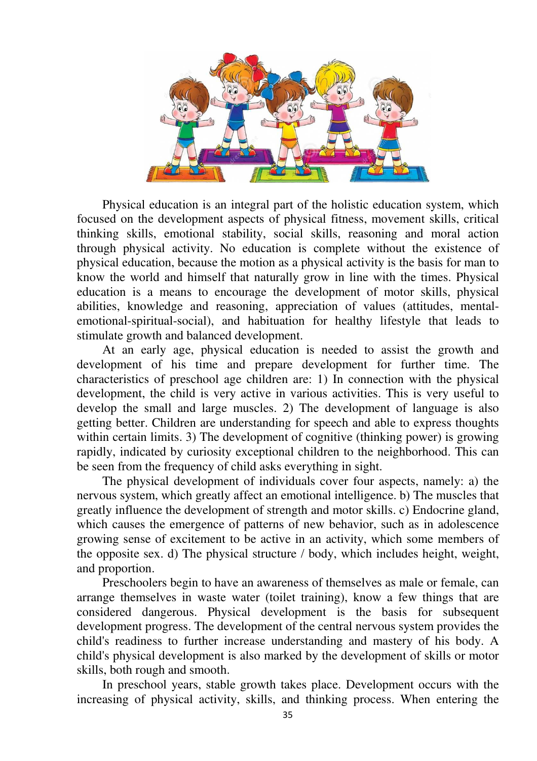

Physical education is an integral part of the holistic education system, which focused on the development aspects of physical fitness, movement skills, critical thinking skills, emotional stability, social skills, reasoning and moral action through physical activity. No education is complete without the existence of physical education, because the motion as a physical activity is the basis for man to know the world and himself that naturally grow in line with the times. Physical education is a means to encourage the development of motor skills, physical abilities, knowledge and reasoning, appreciation of values (attitudes, mentalemotional-spiritual-social), and habituation for healthy lifestyle that leads to stimulate growth and balanced development.

At an early age, physical education is needed to assist the growth and development of his time and prepare development for further time. The characteristics of preschool age children are: 1) In connection with the physical development, the child is very active in various activities. This is very useful to develop the small and large muscles. 2) The development of language is also getting better. Children are understanding for speech and able to express thoughts within certain limits. 3) The development of cognitive (thinking power) is growing rapidly, indicated by curiosity exceptional children to the neighborhood. This can be seen from the frequency of child asks everything in sight.

The physical development of individuals cover four aspects, namely: a) the nervous system, which greatly affect an emotional intelligence. b) The muscles that greatly influence the development of strength and motor skills. c) Endocrine gland, which causes the emergence of patterns of new behavior, such as in adolescence growing sense of excitement to be active in an activity, which some members of the opposite sex. d) The physical structure / body, which includes height, weight, and proportion.

Preschoolers begin to have an awareness of themselves as male or female, can arrange themselves in waste water (toilet training), know a few things that are considered dangerous. Physical development is the basis for subsequent development progress. The development of the central nervous system provides the child's readiness to further increase understanding and mastery of his body. A child's physical development is also marked by the development of skills or motor skills, both rough and smooth.

In preschool years, stable growth takes place. Development occurs with the increasing of physical activity, skills, and thinking process. When entering the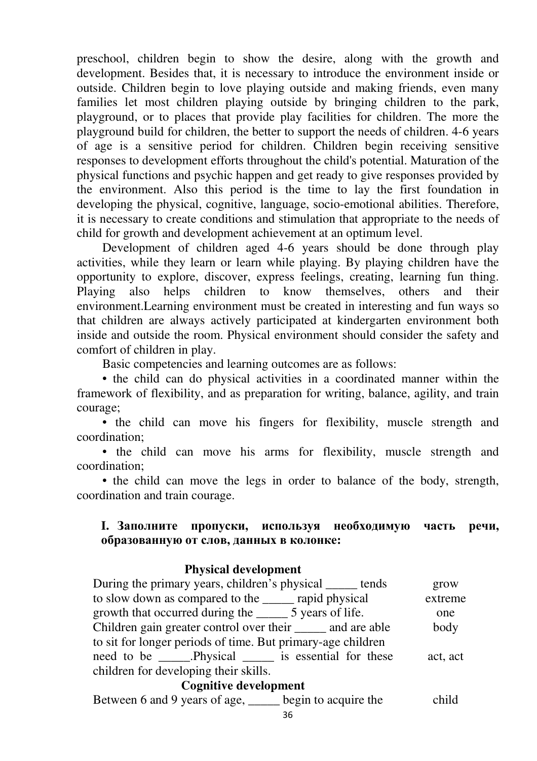preschool, children begin to show the desire, along with the growth and development. Besides that, it is necessary to introduce the environment inside or outside. Children begin to love playing outside and making friends, even many families let most children playing outside by bringing children to the park, playground, or to places that provide play facilities for children. The more the playground build for children, the better to support the needs of children. 4-6 years of age is a sensitive period for children. Children begin receiving sensitive responses to development efforts throughout the child's potential. Maturation of the physical functions and psychic happen and get ready to give responses provided by the environment. Also this period is the time to lay the first foundation in developing the physical, cognitive, language, socio-emotional abilities. Therefore, it is necessary to create conditions and stimulation that appropriate to the needs of child for growth and development achievement at an optimum level.

Development of children aged 4-6 years should be done through play activities, while they learn or learn while playing. By playing children have the opportunity to explore, discover, express feelings, creating, learning fun thing. Playing also helps children to know themselves, others and their environment.Learning environment must be created in interesting and fun ways so that children are always actively participated at kindergarten environment both inside and outside the room. Physical environment should consider the safety and comfort of children in play.

Basic competencies and learning outcomes are as follows:

• the child can do physical activities in a coordinated manner within the framework of flexibility, and as preparation for writing, balance, agility, and train courage;

• the child can move his fingers for flexibility, muscle strength and coordination;

• the child can move his arms for flexibility, muscle strength and coordination;

• the child can move the legs in order to balance of the body, strength, coordination and train courage.

## **I. Заполните пропуски, используя необходимую часть речи, образованную от слов, данных в колонке:**

## **Physical development**

| During the primary years, children's physical ______ tends          | grow     |  |  |  |
|---------------------------------------------------------------------|----------|--|--|--|
| to slow down as compared to the <u>equilibration</u> rapid physical | extreme  |  |  |  |
|                                                                     | one      |  |  |  |
| Children gain greater control over their ______ and are able        | body     |  |  |  |
| to sit for longer periods of time. But primary-age children         |          |  |  |  |
| need to be ______.Physical _______ is essential for these           | act, act |  |  |  |
| children for developing their skills.                               |          |  |  |  |

#### **Cognitive development**

Between 6 and 9 years of age, begin to acquire the child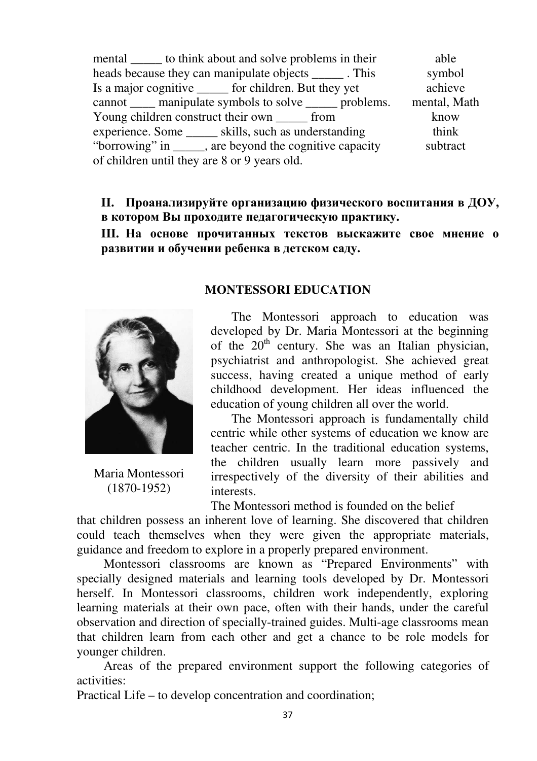mental to think about and solve problems in their able heads because they can manipulate objects \_\_\_\_\_\_\_. This symbol Is a major cognitive for children. But they yet achieve cannot manipulate symbols to solve problems. mental, Math Young children construct their own from know experience. Some \_\_\_\_\_\_ skills, such as understanding think "borrowing" in \_\_\_\_\_, are beyond the cognitive capacity of children until they are 8 or 9 years old. subtract

**II. Проанализируйте организацию физического воспитания в ДОУ, в котором Вы проходите педагогическую практику.** 

**III. На основе прочитанных текстов выскажите свое мнение о развитии и обучении ребенка в детском саду.** 



Maria Montessori (1870-1952)

#### **MONTESSORI EDUCATION**

The Montessori approach to education was developed by Dr. Maria Montessori at the beginning of the  $20<sup>th</sup>$  century. She was an Italian physician, psychiatrist and anthropologist. She achieved great success, having created a unique method of early childhood development. Her ideas influenced the education of young children all over the world.

The Montessori approach is fundamentally child centric while other systems of education we know are teacher centric. In the traditional education systems, the children usually learn more passively and irrespectively of the diversity of their abilities and interests.

The Montessori method is founded on the belief

that children possess an inherent love of learning. She discovered that children could teach themselves when they were given the appropriate materials, guidance and freedom to explore in a properly prepared environment.

Montessori classrooms are known as "Prepared Environments" with specially designed materials and learning tools developed by Dr. Montessori herself. In Montessori classrooms, children work independently, exploring learning materials at their own pace, often with their hands, under the careful observation and direction of specially-trained guides. Multi-age classrooms mean that children learn from each other and get a chance to be role models for younger children.

Areas of the prepared environment support the following categories of activities:

Practical Life – to develop concentration and coordination;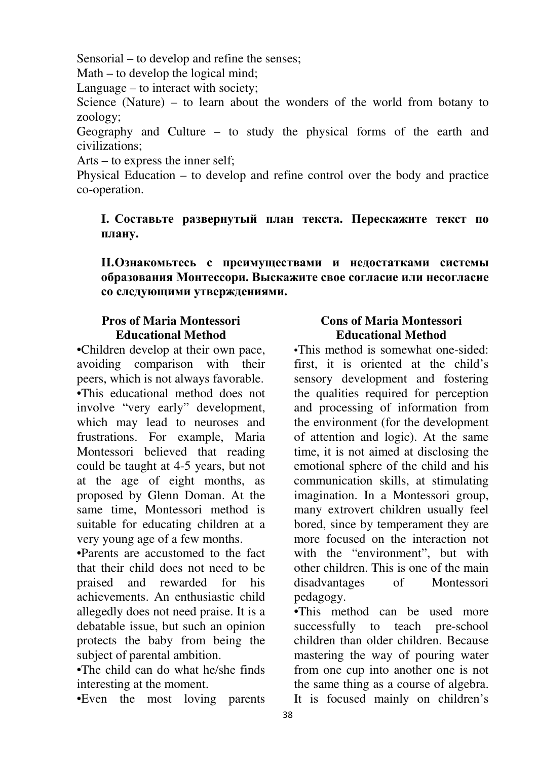Sensorial – to develop and refine the senses;

Math – to develop the logical mind;

Language – to interact with society;

Science (Nature) – to learn about the wonders of the world from botany to zoology;

Geography and Culture – to study the physical forms of the earth and civilizations;

Arts – to express the inner self;

Physical Education – to develop and refine control over the body and practice co-operation.

## **I. Составьте развернутый план текста. Перескажите текст по плану.**

**II.Ознакомьтесь с преимуществами и недостатками системы образования Монтессори. Выскажите свое согласие или несогласие со следующими утверждениями.** 

## **Pros of Maria Montessori Educational Method**

•Children develop at their own pace, avoiding comparison with their peers, which is not always favorable. •This educational method does not involve "very early" development, which may lead to neuroses and frustrations. For example, Maria Montessori believed that reading could be taught at 4-5 years, but not at the age of eight months, as proposed by Glenn Doman. At the same time, Montessori method is suitable for educating children at a very young age of a few months.

•Parents are accustomed to the fact that their child does not need to be praised and rewarded for his achievements. An enthusiastic child allegedly does not need praise. It is a debatable issue, but such an opinion protects the baby from being the subject of parental ambition.

•The child can do what he/she finds interesting at the moment.

•Even the most loving parents

## **Cons of Maria Montessori Educational Method**

•This method is somewhat one-sided: first, it is oriented at the child's sensory development and fostering the qualities required for perception and processing of information from the environment (for the development of attention and logic). At the same time, it is not aimed at disclosing the emotional sphere of the child and his communication skills, at stimulating imagination. In a Montessori group, many extrovert children usually feel bored, since by temperament they are more focused on the interaction not with the "environment", but with other children. This is one of the main disadvantages of Montessori pedagogy.

•This method can be used more successfully to teach pre-school children than older children. Because mastering the way of pouring water from one cup into another one is not the same thing as a course of algebra.

It is focused mainly on children's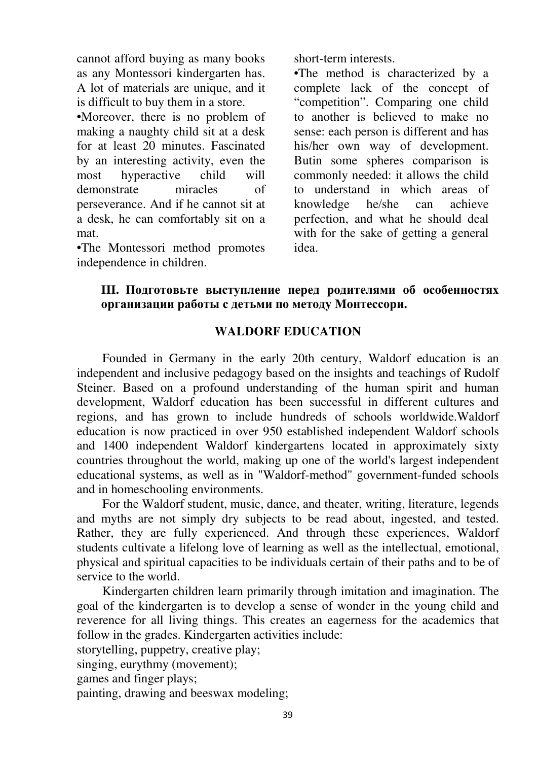cannot afford buying as many books as any Montessori kindergarten has. A lot of materials are unique, and it is difficult to buy them in a store.

•Moreover, there is no problem of making a naughty child sit at a desk for at least 20 minutes. Fascinated by an interesting activity, even the most hyperactive child will demonstrate miracles of perseverance. And if he cannot sit at a desk, he can comfortably sit on a mat.

•The Montessori method promotes independence in children.

short-term interests.

**•**The method is characterized by a complete lack of the concept of "competition". Comparing one child to another is believed to make no sense: each person is different and has his/her own way of development. Butin some spheres comparison is commonly needed: it allows the child to understand in which areas of knowledge he/she can achieve perfection, and what he should deal with for the sake of getting a general idea.

## **III. Подготовьте выступление перед родителями об особенностях организации работы с детьми по методу Монтессори.**

## **WALDORF EDUCATION**

Founded in Germany in the early 20th century, Waldorf education is an independent and inclusive pedagogy based on the insights and teachings of Rudolf Steiner. Based on a profound understanding of the human spirit and human development, Waldorf education has been successful in different cultures and regions, and has grown to include hundreds of schools worldwide.Waldorf education is now practiced in over 950 established independent Waldorf schools and 1400 independent Waldorf kindergartens located in approximately sixty countries throughout the world, making up one of the world's largest independent educational systems, as well as in "Waldorf-method" government-funded schools and in homeschooling environments.

For the Waldorf student, music, dance, and theater, writing, literature, legends and myths are not simply dry subjects to be read about, ingested, and tested. Rather, they are fully experienced. And through these experiences, Waldorf students cultivate a lifelong love of learning as well as the intellectual, emotional, physical and spiritual capacities to be individuals certain of their paths and to be of service to the world.

Kindergarten children learn primarily through imitation and imagination. The goal of the kindergarten is to develop a sense of wonder in the young child and reverence for all living things. This creates an eagerness for the academics that follow in the grades. Kindergarten activities include:

storytelling, puppetry, creative play;

singing, eurythmy (movement);

games and finger plays;

painting, drawing and beeswax modeling;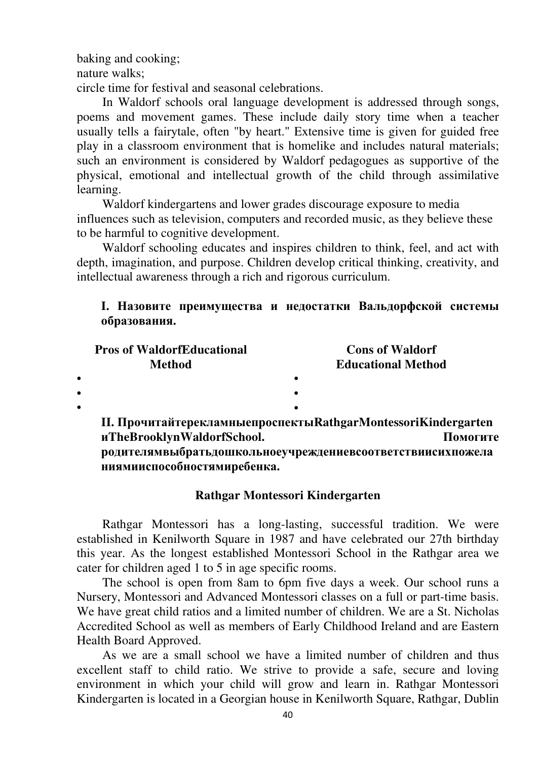baking and cooking; nature walks; circle time for festival and seasonal celebrations.

In Waldorf schools oral language development is addressed through songs, poems and movement games. These include daily story time when a teacher usually tells a fairytale, often "by heart." Extensive time is given for guided free play in a classroom environment that is homelike and includes natural materials; such an environment is considered by Waldorf pedagogues as supportive of the physical, emotional and intellectual growth of the child through assimilative learning.

Waldorf kindergartens and lower grades discourage exposure to media influences such as television, computers and recorded music, as they believe these to be harmful to cognitive development.

Waldorf schooling educates and inspires children to think, feel, and act with depth, imagination, and purpose. Children develop critical thinking, creativity, and intellectual awareness through a rich and rigorous curriculum.

## **I. Назовите преимущества и недостатки Вальдорфской системы образования.**

|           | <b>Pros of WaldorfEducational</b><br><b>Method</b> | <b>Cons of Waldorf</b>                                        |  |
|-----------|----------------------------------------------------|---------------------------------------------------------------|--|
|           |                                                    | <b>Educational Method</b>                                     |  |
| $\bullet$ |                                                    |                                                               |  |
| $\bullet$ |                                                    |                                                               |  |
| $\bullet$ |                                                    |                                                               |  |
|           |                                                    | II. ПрочитайтерекламныепроспектыRathgarMontessoriKindergarten |  |

**иTheBrooklynWaldorfSchool. Помогите родителямвыбратьдошкольноеучреждениевсоответствиисихпожела ниямииспособностямиребенка.** 

## **Rathgar Montessori Kindergarten**

Rathgar Montessori has a long-lasting, successful tradition. We were established in Kenilworth Square in 1987 and have celebrated our 27th birthday this year. As the longest established Montessori School in the Rathgar area we cater for children aged 1 to 5 in age specific rooms.

The school is open from 8am to 6pm five days a week. Our school runs a Nursery, Montessori and Advanced Montessori classes on a full or part-time basis. We have great child ratios and a limited number of children. We are a St. Nicholas Accredited School as well as members of Early Childhood Ireland and are Eastern Health Board Approved.

As we are a small school we have a limited number of children and thus excellent staff to child ratio. We strive to provide a safe, secure and loving environment in which your child will grow and learn in. Rathgar Montessori Kindergarten is located in a Georgian house in Kenilworth Square, Rathgar, Dublin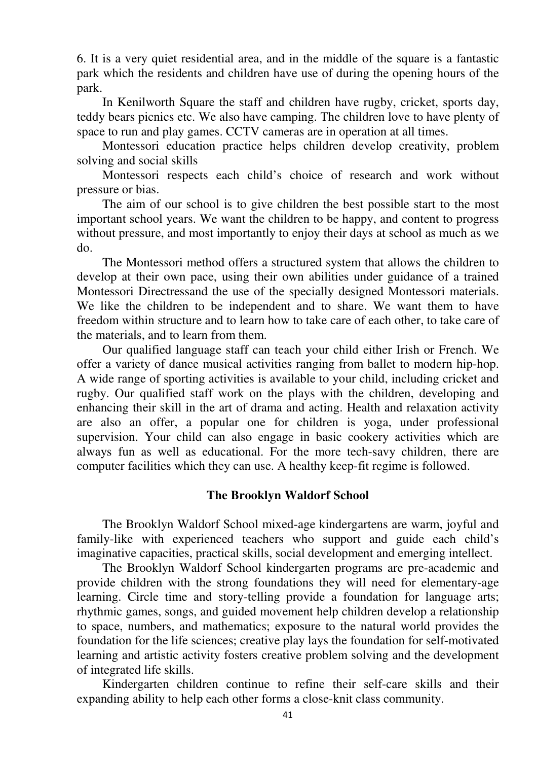6. It is a very quiet residential area, and in the middle of the square is a fantastic park which the residents and children have use of during the opening hours of the park.

In Kenilworth Square the staff and children have rugby, cricket, sports day, teddy bears picnics etc. We also have camping. The children love to have plenty of space to run and play games. CCTV cameras are in operation at all times.

Montessori education practice helps children develop creativity, problem solving and social skills

Montessori respects each child's choice of research and work without pressure or bias.

The aim of our school is to give children the best possible start to the most important school years. We want the children to be happy, and content to progress without pressure, and most importantly to enjoy their days at school as much as we do.

The Montessori method offers a structured system that allows the children to develop at their own pace, using their own abilities under guidance of a trained Montessori Directressand the use of the specially designed Montessori materials. We like the children to be independent and to share. We want them to have freedom within structure and to learn how to take care of each other, to take care of the materials, and to learn from them.

Our qualified language staff can teach your child either Irish or French. We offer a variety of dance musical activities ranging from ballet to modern hip-hop. A wide range of sporting activities is available to your child, including cricket and rugby. Our qualified staff work on the plays with the children, developing and enhancing their skill in the art of drama and acting. Health and relaxation activity are also an offer, a popular one for children is yoga, under professional supervision. Your child can also engage in basic cookery activities which are always fun as well as educational. For the more tech-savy children, there are computer facilities which they can use. A healthy keep-fit regime is followed.

#### **The Brooklyn Waldorf School**

The Brooklyn Waldorf School mixed-age kindergartens are warm, joyful and family-like with experienced teachers who support and guide each child's imaginative capacities, practical skills, social development and emerging intellect.

The Brooklyn Waldorf School kindergarten programs are pre-academic and provide children with the strong foundations they will need for elementary-age learning. Circle time and story-telling provide a foundation for language arts; rhythmic games, songs, and guided movement help children develop a relationship to space, numbers, and mathematics; exposure to the natural world provides the foundation for the life sciences; creative play lays the foundation for self-motivated learning and artistic activity fosters creative problem solving and the development of integrated life skills.

Kindergarten children continue to refine their self-care skills and their expanding ability to help each other forms a close-knit class community.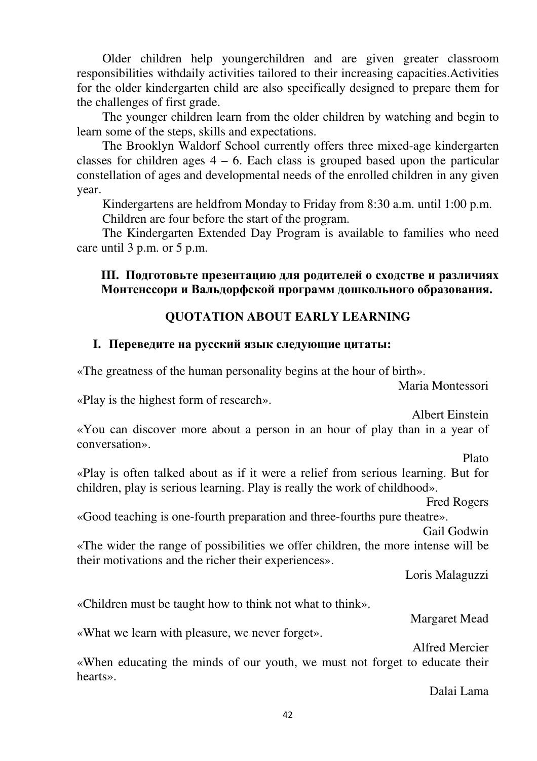Older children help youngerchildren and are given greater classroom responsibilities withdaily activities tailored to their increasing capacities.Activities for the older kindergarten child are also specifically designed to prepare them for the challenges of first grade.

The younger children learn from the older children by watching and begin to learn some of the steps, skills and expectations.

The Brooklyn Waldorf School currently offers three mixed-age kindergarten classes for children ages  $4 - 6$ . Each class is grouped based upon the particular constellation of ages and developmental needs of the enrolled children in any given year.

Kindergartens are heldfrom Monday to Friday from 8:30 a.m. until 1:00 p.m. Children are four before the start of the program.

The Kindergarten Extended Day Program is available to families who need care until 3 p.m. or 5 p.m.

## **III. Подготовьте презентацию для родителей о сходстве и различиях Монтенссори и Вальдорфской программ дошкольного образования.**

## **QUOTATION ABOUT EARLY LEARNING**

## **I. Переведите на русский язык следующие цитаты:**

«The greatness of the human personality begins at the hour of birth».

Maria Montessori

«Play is the highest form of research».

Albert Einstein

«You can discover more about a person in an hour of play than in a year of conversation».

Plato

«Play is often talked about as if it were a relief from serious learning. But for children, play is serious learning. Play is really the work of childhood».

Fred Rogers

«Good teaching is one-fourth preparation and three-fourths pure theatre».

Gail Godwin

«The wider the range of possibilities we offer children, the more intense will be their motivations and the richer their experiences».

Loris Malaguzzi

«Children must be taught how to think not what to think».

Margaret Mead

«What we learn with pleasure, we never forget».

Alfred Mercier

«When educating the minds of our youth, we must not forget to educate their hearts».

Dalai Lama